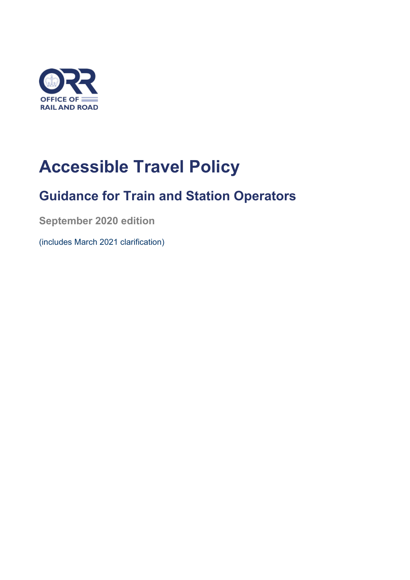

# **Accessible Travel Policy**

# **Guidance for Train and Station Operators**

**September 2020 edition**

(includes March 2021 clarification)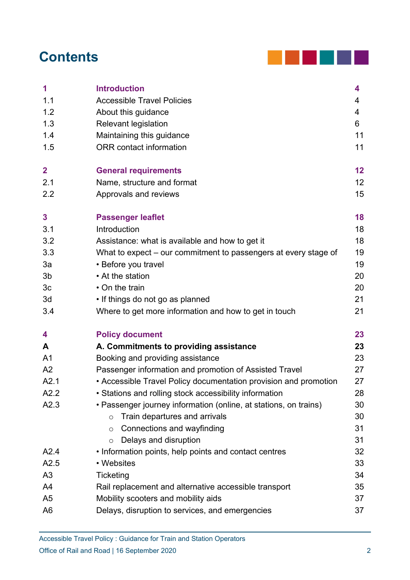# **Contents**



| 1                       | <b>Introduction</b>                                              | 4  |
|-------------------------|------------------------------------------------------------------|----|
| 1.1                     | <b>Accessible Travel Policies</b>                                | 4  |
| 1.2                     | About this guidance                                              | 4  |
| 1.3                     | <b>Relevant legislation</b>                                      | 6  |
| 1.4                     | Maintaining this guidance                                        | 11 |
| 1.5                     | <b>ORR</b> contact information                                   | 11 |
| $\overline{\mathbf{2}}$ | <b>General requirements</b>                                      | 12 |
| 2.1                     | Name, structure and format                                       | 12 |
| 2.2                     | Approvals and reviews                                            | 15 |
| 3                       | <b>Passenger leaflet</b>                                         | 18 |
| 3.1                     | Introduction                                                     | 18 |
| 3.2                     | Assistance: what is available and how to get it                  | 18 |
| 3.3                     | What to expect – our commitment to passengers at every stage of  | 19 |
| 3a                      | • Before you travel                                              | 19 |
| 3b                      | • At the station                                                 | 20 |
| 3 <sub>c</sub>          | • On the train                                                   | 20 |
| 3d                      | • If things do not go as planned                                 | 21 |
| 3.4                     | Where to get more information and how to get in touch            | 21 |
| 4                       | <b>Policy document</b>                                           | 23 |
| A                       | A. Commitments to providing assistance                           | 23 |
| A <sub>1</sub>          | Booking and providing assistance                                 | 23 |
| A <sub>2</sub>          | Passenger information and promotion of Assisted Travel           | 27 |
| A2.1                    | • Accessible Travel Policy documentation provision and promotion | 27 |
| A2.2                    | • Stations and rolling stock accessibility information           | 28 |
| A2.3                    | • Passenger journey information (online, at stations, on trains) | 30 |
|                         | Train departures and arrivals<br>$\circ$                         | 30 |
|                         | Connections and wayfinding<br>$\circ$                            | 31 |
|                         | Delays and disruption<br>$\circ$                                 | 31 |
| A2.4                    | • Information points, help points and contact centres            | 32 |
| A2.5                    | • Websites                                                       | 33 |
| A <sub>3</sub>          | Ticketing                                                        | 34 |
| A4                      | Rail replacement and alternative accessible transport            | 35 |
| A <sub>5</sub>          | Mobility scooters and mobility aids                              | 37 |
| A <sub>6</sub>          | Delays, disruption to services, and emergencies                  | 37 |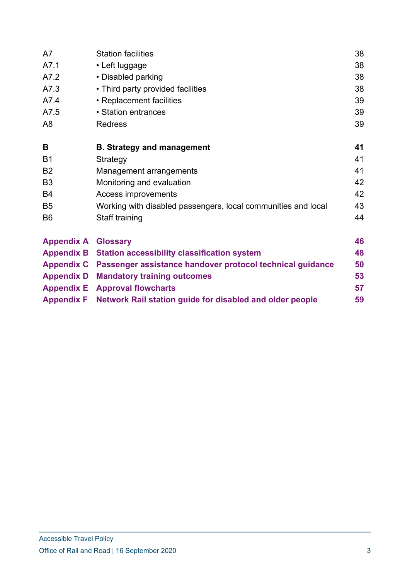| A7                | <b>Station facilities</b>                                      | 38 |  |
|-------------------|----------------------------------------------------------------|----|--|
| A7.1              | • Left luggage                                                 | 38 |  |
| A7.2              | • Disabled parking                                             | 38 |  |
| A7.3              | • Third party provided facilities                              | 38 |  |
| A7.4              | • Replacement facilities                                       | 39 |  |
| A7.5              | • Station entrances                                            | 39 |  |
| A <sub>8</sub>    | <b>Redress</b>                                                 |    |  |
| B                 | <b>B. Strategy and management</b>                              | 41 |  |
| <b>B1</b>         | Strategy                                                       | 41 |  |
| <b>B2</b>         | Management arrangements                                        | 41 |  |
| B <sub>3</sub>    | Monitoring and evaluation                                      |    |  |
| <b>B4</b>         | Access improvements                                            | 42 |  |
| B <sub>5</sub>    | Working with disabled passengers, local communities and local  | 43 |  |
| B <sub>6</sub>    | Staff training                                                 |    |  |
| <b>Appendix A</b> | <b>Glossary</b>                                                | 46 |  |
| <b>Appendix B</b> | <b>Station accessibility classification system</b>             | 48 |  |
| <b>Appendix C</b> | Passenger assistance handover protocol technical guidance      | 50 |  |
| <b>Appendix D</b> | <b>Mandatory training outcomes</b>                             | 53 |  |
| <b>Appendix E</b> | <b>Approval flowcharts</b>                                     | 57 |  |
| <b>Appendix F</b> | Network Rail station guide for disabled and older people<br>59 |    |  |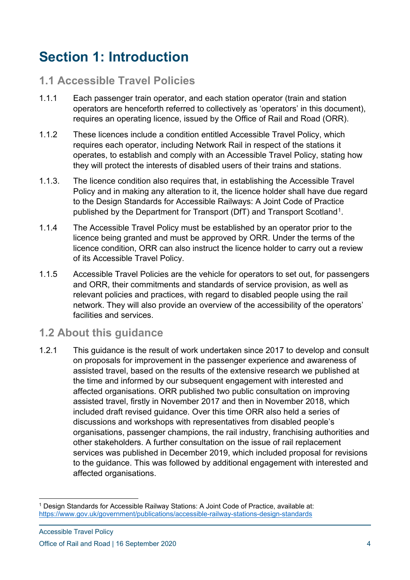# **Section 1: Introduction**

## **1.1 Accessible Travel Policies**

- 1.1.1 Each passenger train operator, and each station operator (train and station operators are henceforth referred to collectively as 'operators' in this document), requires an operating licence, issued by the Office of Rail and Road (ORR).
- 1.1.2 These licences include a condition entitled Accessible Travel Policy, which requires each operator, including Network Rail in respect of the stations it operates, to establish and comply with an Accessible Travel Policy, stating how they will protect the interests of disabled users of their trains and stations.
- 1.1.3. The licence condition also requires that, in establishing the Accessible Travel Policy and in making any alteration to it, the licence holder shall have due regard to the Design Standards for Accessible Railways: A Joint Code of Practice published by the Department for Transport (DfT) and Transport Scotland<sup>[1](#page-3-0)</sup>.
- 1.1.4 The Accessible Travel Policy must be established by an operator prior to the licence being granted and must be approved by ORR. Under the terms of the licence condition, ORR can also instruct the licence holder to carry out a review of its Accessible Travel Policy.
- 1.1.5 Accessible Travel Policies are the vehicle for operators to set out, for passengers and ORR, their commitments and standards of service provision, as well as relevant policies and practices, with regard to disabled people using the rail network. They will also provide an overview of the accessibility of the operators' facilities and services.

## **1.2 About this guidance**

1.2.1 This guidance is the result of work undertaken since 2017 to develop and consult on proposals for improvement in the passenger experience and awareness of assisted travel, based on the results of the extensive research we published at the time and informed by our subsequent engagement with interested and affected organisations. ORR published two public consultation on improving assisted travel, firstly in November 2017 and then in November 2018, which included draft revised guidance. Over this time ORR also held a series of discussions and workshops with representatives from disabled people's organisations, passenger champions, the rail industry, franchising authorities and other stakeholders. A further consultation on the issue of rail replacement services was published in December 2019, which included proposal for revisions to the guidance. This was followed by additional engagement with interested and affected organisations.

<span id="page-3-0"></span><sup>1</sup> Design Standards for Accessible Railway Stations: A Joint Code of Practice, available at: <https://www.gov.uk/government/publications/accessible-railway-stations-design-standards>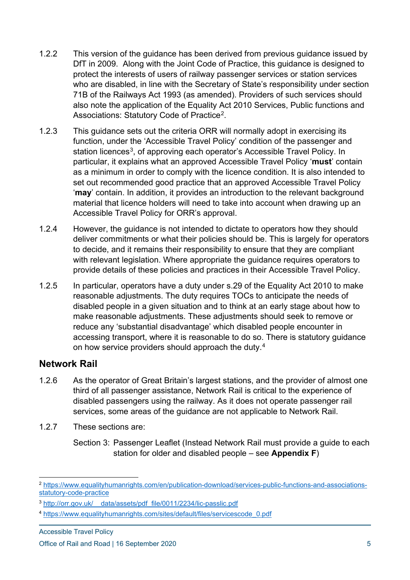- 1.2.2 This version of the guidance has been derived from previous guidance issued by DfT in 2009. Along with the Joint Code of Practice, this guidance is designed to protect the interests of users of railway passenger services or station services who are disabled, in line with the Secretary of State's responsibility under section 71B of the Railways Act 1993 (as amended). Providers of such services should also note the application of the Equality Act 2010 Services, Public functions and Associations: Statutory Code of Practice<sup>[2](#page-4-0)</sup>.
- 1.2.3 This guidance sets out the criteria ORR will normally adopt in exercising its function, under the 'Accessible Travel Policy' condition of the passenger and station licences<sup>[3](#page-4-1)</sup>, of approving each operator's Accessible Travel Policy. In particular, it explains what an approved Accessible Travel Policy '**must**' contain as a minimum in order to comply with the licence condition. It is also intended to set out recommended good practice that an approved Accessible Travel Policy '**may**' contain. In addition, it provides an introduction to the relevant background material that licence holders will need to take into account when drawing up an Accessible Travel Policy for ORR's approval.
- 1.2.4 However, the guidance is not intended to dictate to operators how they should deliver commitments or what their policies should be. This is largely for operators to decide, and it remains their responsibility to ensure that they are compliant with relevant legislation. Where appropriate the guidance requires operators to provide details of these policies and practices in their Accessible Travel Policy.
- 1.2.5 In particular, operators have a duty under s.29 of the Equality Act 2010 to make reasonable adjustments. The duty requires TOCs to anticipate the needs of disabled people in a given situation and to think at an early stage about how to make reasonable adjustments. These adjustments should seek to remove or reduce any 'substantial disadvantage' which disabled people encounter in accessing transport, where it is reasonable to do so. There is statutory guidance on how service providers should approach the duty. [4](#page-4-2)

#### **Network Rail**

- 1.2.6 As the operator of Great Britain's largest stations, and the provider of almost one third of all passenger assistance, Network Rail is critical to the experience of disabled passengers using the railway. As it does not operate passenger rail services, some areas of the guidance are not applicable to Network Rail.
- 1.2.7 These sections are:

Section 3: Passenger Leaflet (Instead Network Rail must provide a guide to each station for older and disabled people – see **Appendix F**)

Accessible Travel Policy

<span id="page-4-0"></span><sup>2</sup> [https://www.equalityhumanrights.com/en/publication-download/services-public-functions-and-associations](https://www.equalityhumanrights.com/en/publication-download/services-public-functions-and-associations-statutory-code-practice)[statutory-code-practice](https://www.equalityhumanrights.com/en/publication-download/services-public-functions-and-associations-statutory-code-practice)

<span id="page-4-1"></span><sup>&</sup>lt;sup>3</sup> http://orr.gov.uk/ data/assets/pdf\_file/0011/2234/lic-passlic.pdf

<span id="page-4-2"></span><sup>4</sup> [https://www.equalityhumanrights.com/sites/default/files/servicescode\\_0.pdf](https://www.equalityhumanrights.com/sites/default/files/servicescode_0.pdf)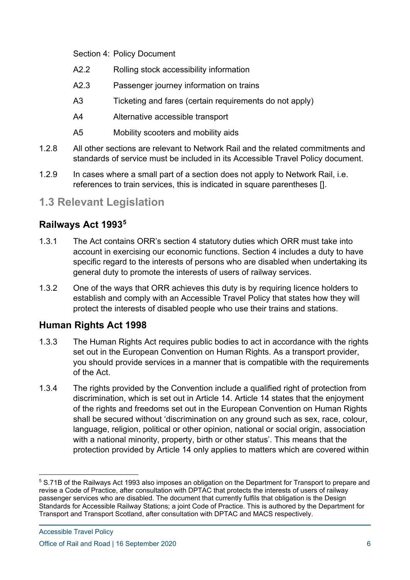Section 4: Policy Document

- A2.2 Rolling stock accessibility information
- A2.3 Passenger journey information on trains
- A3 Ticketing and fares (certain requirements do not apply)
- A4 Alternative accessible transport
- A5 Mobility scooters and mobility aids
- 1.2.8 All other sections are relevant to Network Rail and the related commitments and standards of service must be included in its Accessible Travel Policy document.
- 1.2.9 In cases where a small part of a section does not apply to Network Rail, i.e. references to train services, this is indicated in square parentheses [].

## **1.3 Relevant Legislation**

## **Railways Act 1993[5](#page-5-0)**

- 1.3.1 The Act contains ORR's section 4 statutory duties which ORR must take into account in exercising our economic functions. Section 4 includes a duty to have specific regard to the interests of persons who are disabled when undertaking its general duty to promote the interests of users of railway services.
- 1.3.2 One of the ways that ORR achieves this duty is by requiring licence holders to establish and comply with an Accessible Travel Policy that states how they will protect the interests of disabled people who use their trains and stations.

## **Human Rights Act 1998**

- 1.3.3 The Human Rights Act requires public bodies to act in accordance with the rights set out in the European Convention on Human Rights. As a transport provider, you should provide services in a manner that is compatible with the requirements of the Act.
- 1.3.4 The rights provided by the Convention include a qualified right of protection from discrimination, which is set out in Article 14. Article 14 states that the enjoyment of the rights and freedoms set out in the European Convention on Human Rights shall be secured without 'discrimination on any ground such as sex, race, colour, language, religion, political or other opinion, national or social origin, association with a national minority, property, birth or other status'. This means that the protection provided by Article 14 only applies to matters which are covered within

<span id="page-5-0"></span><sup>5</sup> S.71B of the Railways Act 1993 also imposes an obligation on the Department for Transport to prepare and revise a Code of Practice, after consultation with DPTAC that protects the interests of users of railway passenger services who are disabled. The document that currently fulfils that obligation is the Design Standards for Accessible Railway Stations; a joint Code of Practice. This is authored by the Department for Transport and Transport Scotland, after consultation with DPTAC and MACS respectively.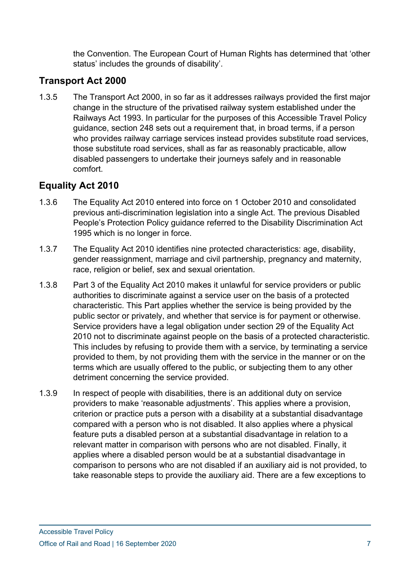the Convention. The European Court of Human Rights has determined that 'other status' includes the grounds of disability'.

## **Transport Act 2000**

1.3.5 The Transport Act 2000, in so far as it addresses railways provided the first major change in the structure of the privatised railway system established under the Railways Act 1993. In particular for the purposes of this Accessible Travel Policy guidance, section 248 sets out a requirement that, in broad terms, if a person who provides railway carriage services instead provides substitute road services, those substitute road services, shall as far as reasonably practicable, allow disabled passengers to undertake their journeys safely and in reasonable comfort.

## **Equality Act 2010**

- 1.3.6 The Equality Act 2010 entered into force on 1 October 2010 and consolidated previous anti-discrimination legislation into a single Act. The previous Disabled People's Protection Policy guidance referred to the Disability Discrimination Act 1995 which is no longer in force.
- 1.3.7 The Equality Act 2010 identifies nine protected characteristics: age, disability, gender reassignment, marriage and civil partnership, pregnancy and maternity, race, religion or belief, sex and sexual orientation.
- 1.3.8 Part 3 of the Equality Act 2010 makes it unlawful for service providers or public authorities to discriminate against a service user on the basis of a protected characteristic. This Part applies whether the service is being provided by the public sector or privately, and whether that service is for payment or otherwise. Service providers have a legal obligation under section 29 of the Equality Act 2010 not to discriminate against people on the basis of a protected characteristic. This includes by refusing to provide them with a service, by terminating a service provided to them, by not providing them with the service in the manner or on the terms which are usually offered to the public, or subjecting them to any other detriment concerning the service provided.
- 1.3.9 In respect of people with disabilities, there is an additional duty on service providers to make 'reasonable adjustments'. This applies where a provision, criterion or practice puts a person with a disability at a substantial disadvantage compared with a person who is not disabled. It also applies where a physical feature puts a disabled person at a substantial disadvantage in relation to a relevant matter in comparison with persons who are not disabled. Finally, it applies where a disabled person would be at a substantial disadvantage in comparison to persons who are not disabled if an auxiliary aid is not provided, to take reasonable steps to provide the auxiliary aid. There are a few exceptions to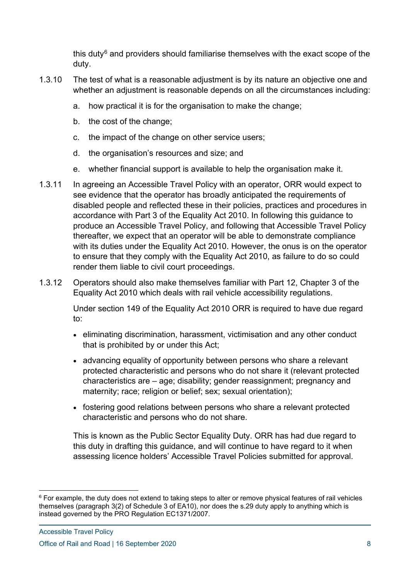this duty $6$  and providers should familiarise themselves with the exact scope of the duty.

- 1.3.10 The test of what is a reasonable adjustment is by its nature an objective one and whether an adjustment is reasonable depends on all the circumstances including:
	- a. how practical it is for the organisation to make the change;
	- b. the cost of the change;
	- c. the impact of the change on other service users;
	- d. the organisation's resources and size; and
	- e. whether financial support is available to help the organisation make it.
- 1.3.11 In agreeing an Accessible Travel Policy with an operator, ORR would expect to see evidence that the operator has broadly anticipated the requirements of disabled people and reflected these in their policies, practices and procedures in accordance with Part 3 of the Equality Act 2010. In following this guidance to produce an Accessible Travel Policy, and following that Accessible Travel Policy thereafter, we expect that an operator will be able to demonstrate compliance with its duties under the Equality Act 2010. However, the onus is on the operator to ensure that they comply with the Equality Act 2010, as failure to do so could render them liable to civil court proceedings.
- 1.3.12 Operators should also make themselves familiar with Part 12, Chapter 3 of the Equality Act 2010 which deals with rail vehicle accessibility regulations.

Under section 149 of the Equality Act 2010 ORR is required to have due regard to:

- eliminating discrimination, harassment, victimisation and any other conduct that is prohibited by or under this Act;
- advancing equality of opportunity between persons who share a relevant protected characteristic and persons who do not share it (relevant protected characteristics are – age; disability; gender reassignment; pregnancy and maternity; race; religion or belief; sex; sexual orientation);
- fostering good relations between persons who share a relevant protected characteristic and persons who do not share.

This is known as the Public Sector Equality Duty. ORR has had due regard to this duty in drafting this guidance, and will continue to have regard to it when assessing licence holders' Accessible Travel Policies submitted for approval.

<span id="page-7-0"></span><sup>&</sup>lt;sup>6</sup> For example, the duty does not extend to taking steps to alter or remove physical features of rail vehicles themselves (paragraph 3(2) of Schedule 3 of EA10), nor does the s.29 duty apply to anything which is instead governed by the PRO Regulation EC1371/2007.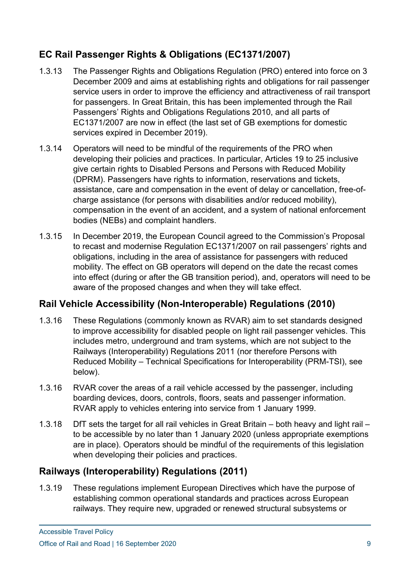## **EC Rail Passenger Rights & Obligations (EC1371/2007)**

- 1.3.13 The Passenger Rights and Obligations Regulation (PRO) entered into force on 3 December 2009 and aims at establishing rights and obligations for rail passenger service users in order to improve the efficiency and attractiveness of rail transport for passengers. In Great Britain, this has been implemented through the Rail Passengers' Rights and Obligations Regulations 2010, and all parts of EC1371/2007 are now in effect (the last set of GB exemptions for domestic services expired in December 2019).
- 1.3.14 Operators will need to be mindful of the requirements of the PRO when developing their policies and practices. In particular, Articles 19 to 25 inclusive give certain rights to Disabled Persons and Persons with Reduced Mobility (DPRM). Passengers have rights to information, reservations and tickets, assistance, care and compensation in the event of delay or cancellation, free-ofcharge assistance (for persons with disabilities and/or reduced mobility), compensation in the event of an accident, and a system of national enforcement bodies (NEBs) and complaint handlers.
- 1.3.15 In December 2019, the European Council agreed to the Commission's Proposal to recast and modernise Regulation EC1371/2007 on rail passengers' rights and obligations, including in the area of assistance for passengers with reduced mobility. The effect on GB operators will depend on the date the recast comes into effect (during or after the GB transition period), and, operators will need to be aware of the proposed changes and when they will take effect.

## **Rail Vehicle Accessibility (Non-Interoperable) Regulations (2010)**

- 1.3.16 These Regulations (commonly known as RVAR) aim to set standards designed to improve accessibility for disabled people on light rail passenger vehicles. This includes metro, underground and tram systems, which are not subject to the Railways (Interoperability) Regulations 2011 (nor therefore Persons with Reduced Mobility – Technical Specifications for Interoperability (PRM-TSI), see below).
- 1.3.16 RVAR cover the areas of a rail vehicle accessed by the passenger, including boarding devices, doors, controls, floors, seats and passenger information. RVAR apply to vehicles entering into service from 1 January 1999.
- 1.3.18 DfT sets the target for all rail vehicles in Great Britain both heavy and light rail to be accessible by no later than 1 January 2020 (unless appropriate exemptions are in place). Operators should be mindful of the requirements of this legislation when developing their policies and practices.

## **Railways (Interoperability) Regulations (2011)**

1.3.19 These regulations implement European Directives which have the purpose of establishing common operational standards and practices across European railways. They require new, upgraded or renewed structural subsystems or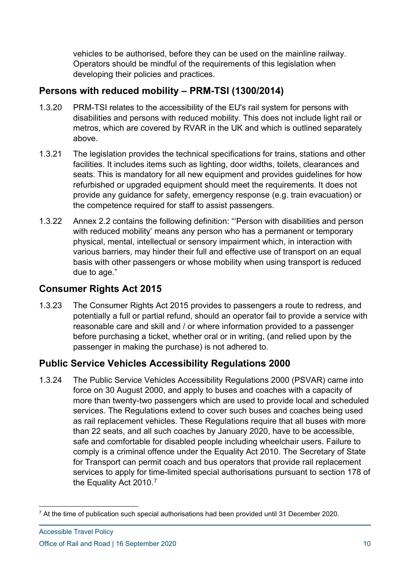vehicles to be authorised, before they can be used on the mainline railway. Operators should be mindful of the requirements of this legislation when developing their policies and practices.

## **Persons with reduced mobility – PRM-TSI (1300/2014)**

- 1.3.20 PRM-TSI relates to the accessibility of the EU's rail system for persons with disabilities and persons with reduced mobility. This does not include light rail or metros, which are covered by RVAR in the UK and which is outlined separately above.
- 1.3.21 The legislation provides the technical specifications for trains, stations and other facilities. It includes items such as lighting, door widths, toilets, clearances and seats. This is mandatory for all new equipment and provides guidelines for how refurbished or upgraded equipment should meet the requirements. It does not provide any guidance for safety, emergency response (e.g. train evacuation) or the competence required for staff to assist passengers.
- 1.3.22 Annex 2.2 contains the following definition: "'Person with disabilities and person with reduced mobility' means any person who has a permanent or temporary physical, mental, intellectual or sensory impairment which, in interaction with various barriers, may hinder their full and effective use of transport on an equal basis with other passengers or whose mobility when using transport is reduced due to age."

## **Consumer Rights Act 2015**

1.3.23 The Consumer Rights Act 2015 provides to passengers a route to redress, and potentially a full or partial refund, should an operator fail to provide a service with reasonable care and skill and / or where information provided to a passenger before purchasing a ticket, whether oral or in writing, (and relied upon by the passenger in making the purchase) is not adhered to.

## **Public Service Vehicles Accessibility Regulations 2000**

1.3.24 The Public Service Vehicles Accessibility Regulations 2000 (PSVAR) came into force on 30 August 2000, and apply to buses and coaches with a capacity of more than twenty-two passengers which are used to provide local and scheduled services. The Regulations extend to cover such buses and coaches being used as rail replacement vehicles. These Regulations require that all buses with more than 22 seats, and all such coaches by January 2020, have to be accessible, safe and comfortable for disabled people including wheelchair users. Failure to comply is a criminal offence under the Equality Act 2010. The Secretary of State for Transport can permit coach and bus operators that provide rail replacement services to apply for time-limited special authorisations pursuant to section 178 of the Equality Act 2010.<sup>[7](#page-9-0)</sup>

<span id="page-9-0"></span> $7$  At the time of publication such special authorisations had been provided until 31 December 2020.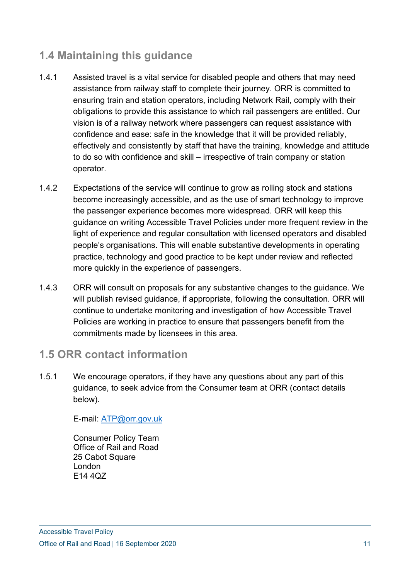## **1.4 Maintaining this guidance**

- 1.4.1 Assisted travel is a vital service for disabled people and others that may need assistance from railway staff to complete their journey. ORR is committed to ensuring train and station operators, including Network Rail, comply with their obligations to provide this assistance to which rail passengers are entitled. Our vision is of a railway network where passengers can request assistance with confidence and ease: safe in the knowledge that it will be provided reliably, effectively and consistently by staff that have the training, knowledge and attitude to do so with confidence and skill – irrespective of train company or station operator.
- 1.4.2 Expectations of the service will continue to grow as rolling stock and stations become increasingly accessible, and as the use of smart technology to improve the passenger experience becomes more widespread. ORR will keep this guidance on writing Accessible Travel Policies under more frequent review in the light of experience and regular consultation with licensed operators and disabled people's organisations. This will enable substantive developments in operating practice, technology and good practice to be kept under review and reflected more quickly in the experience of passengers.
- 1.4.3 ORR will consult on proposals for any substantive changes to the guidance. We will publish revised guidance, if appropriate, following the consultation. ORR will continue to undertake monitoring and investigation of how Accessible Travel Policies are working in practice to ensure that passengers benefit from the commitments made by licensees in this area.

## **1.5 ORR contact information**

1.5.1 We encourage operators, if they have any questions about any part of this guidance, to seek advice from the Consumer team at ORR (contact details below).

E-mail: [ATP@orr.gov.uk](mailto:ATP@orr.gov.uk) 

Consumer Policy Team Office of Rail and Road 25 Cabot Square London E14 4QZ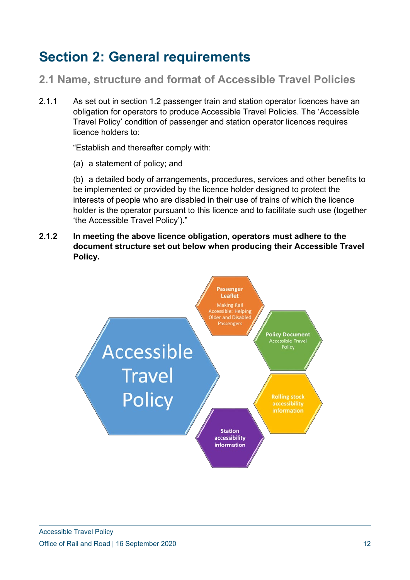# **Section 2: General requirements**

**2.1 Name, structure and format of Accessible Travel Policies**

2.1.1 As set out in section 1.2 passenger train and station operator licences have an obligation for operators to produce Accessible Travel Policies. The 'Accessible Travel Policy' condition of passenger and station operator licences requires licence holders to:

"Establish and thereafter comply with:

(a) a statement of policy; and

(b) a detailed body of arrangements, procedures, services and other benefits to be implemented or provided by the licence holder designed to protect the interests of people who are disabled in their use of trains of which the licence holder is the operator pursuant to this licence and to facilitate such use (together 'the Accessible Travel Policy')."

**2.1.2 In meeting the above licence obligation, operators must adhere to the document structure set out below when producing their Accessible Travel Policy.** 

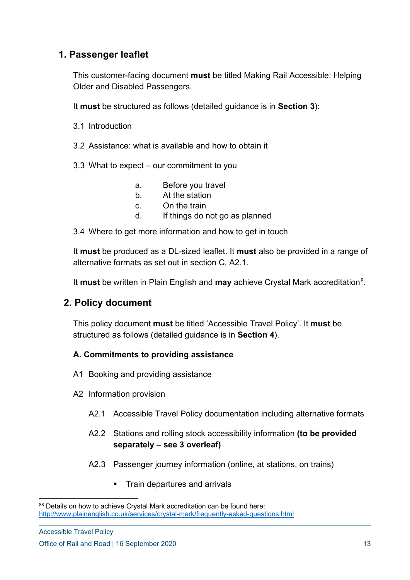## **1. Passenger leaflet**

This customer-facing document **must** be titled Making Rail Accessible: Helping Older and Disabled Passengers.

It **must** be structured as follows (detailed guidance is in **Section 3**):

- 3.1 Introduction
- 3.2 Assistance: what is available and how to obtain it
- 3.3 What to expect our commitment to you
	- a. Before you travel
	- b. At the station
	- c. On the train
	- d. If things do not go as planned
- 3.4 Where to get more information and how to get in touch

It **must** be produced as a DL-sized leaflet. It **must** also be provided in a range of alternative formats as set out in section C, A2.1.

It **must** be written in Plain English and **may** achieve Crystal Mark accreditation<sup>[8](#page-12-0)</sup>.

## **2. Policy document**

This policy document **must** be titled 'Accessible Travel Policy'. It **must** be structured as follows (detailed guidance is in **Section 4**).

#### **A. Commitments to providing assistance**

- A1 Booking and providing assistance
- A2 Information provision
	- A2.1 Accessible Travel Policy documentation including alternative formats
	- A2.2 Stations and rolling stock accessibility information **(to be provided separately – see 3 overleaf)**
	- A2.3 Passenger journey information (online, at stations, on trains)
		- **Train departures and arrivals**

<span id="page-12-0"></span><sup>88</sup> Details on how to achieve Crystal Mark accreditation can be found here: <http://www.plainenglish.co.uk/services/crystal-mark/frequently-asked-questions.html>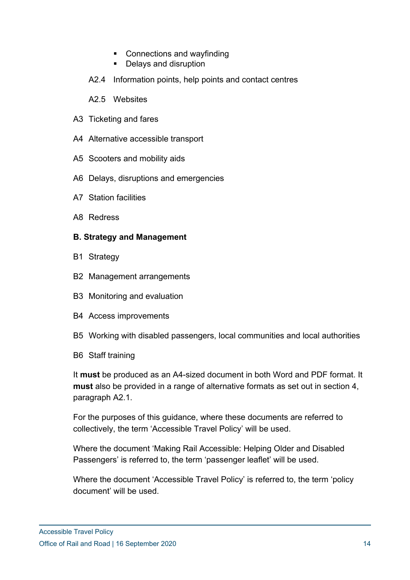- Connections and wayfinding
- **Delays and disruption**
- A2.4 Information points, help points and contact centres
- A2.5 Websites
- A3 Ticketing and fares
- A4 Alternative accessible transport
- A5 Scooters and mobility aids
- A6 Delays, disruptions and emergencies
- A7 Station facilities
- A8 Redress

#### **B. Strategy and Management**

- B1 Strategy
- B2 Management arrangements
- B3 Monitoring and evaluation
- B4 Access improvements
- B5 Working with disabled passengers, local communities and local authorities
- B6 Staff training

It **must** be produced as an A4-sized document in both Word and PDF format. It **must** also be provided in a range of alternative formats as set out in section 4, paragraph A2.1.

For the purposes of this guidance, where these documents are referred to collectively, the term 'Accessible Travel Policy' will be used.

Where the document 'Making Rail Accessible: Helping Older and Disabled Passengers' is referred to, the term 'passenger leaflet' will be used.

Where the document 'Accessible Travel Policy' is referred to, the term 'policy document' will be used.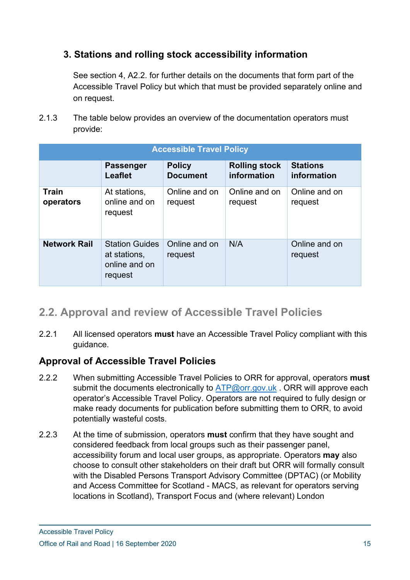## **3. Stations and rolling stock accessibility information**

See section 4, A2.2. for further details on the documents that form part of the Accessible Travel Policy but which that must be provided separately online and on request.

2.1.3 The table below provides an overview of the documentation operators must provide:

| <b>Accessible Travel Policy</b> |                                                                   |                                  |                                     |                                |  |
|---------------------------------|-------------------------------------------------------------------|----------------------------------|-------------------------------------|--------------------------------|--|
|                                 | <b>Passenger</b><br><b>Leaflet</b>                                | <b>Policy</b><br><b>Document</b> | <b>Rolling stock</b><br>information | <b>Stations</b><br>information |  |
| <b>Train</b><br>operators       | At stations,<br>online and on<br>request                          | Online and on<br>request         | Online and on<br>request            | Online and on<br>request       |  |
| <b>Network Rail</b>             | <b>Station Guides</b><br>at stations,<br>online and on<br>request | Online and on<br>request         | N/A                                 | Online and on<br>request       |  |

## **2.2. Approval and review of Accessible Travel Policies**

2.2.1 All licensed operators **must** have an Accessible Travel Policy compliant with this guidance.

## **Approval of Accessible Travel Policies**

- 2.2.2 When submitting Accessible Travel Policies to ORR for approval, operators **must**  submit the documents electronically to [ATP@orr.gov.uk](mailto:DPPP@orr.gov.uk). ORR will approve each operator's Accessible Travel Policy. Operators are not required to fully design or make ready documents for publication before submitting them to ORR, to avoid potentially wasteful costs.
- 2.2.3 At the time of submission, operators **must** confirm that they have sought and considered feedback from local groups such as their passenger panel, accessibility forum and local user groups, as appropriate. Operators **may** also choose to consult other stakeholders on their draft but ORR will formally consult with the Disabled Persons Transport Advisory Committee (DPTAC) (or Mobility and Access Committee for Scotland - MACS, as relevant for operators serving locations in Scotland), Transport Focus and (where relevant) London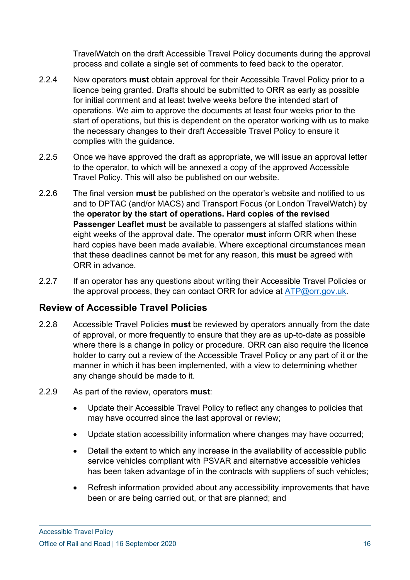TravelWatch on the draft Accessible Travel Policy documents during the approval process and collate a single set of comments to feed back to the operator.

- 2.2.4 New operators **must** obtain approval for their Accessible Travel Policy prior to a licence being granted. Drafts should be submitted to ORR as early as possible for initial comment and at least twelve weeks before the intended start of operations. We aim to approve the documents at least four weeks prior to the start of operations, but this is dependent on the operator working with us to make the necessary changes to their draft Accessible Travel Policy to ensure it complies with the guidance.
- 2.2.5 Once we have approved the draft as appropriate, we will issue an approval letter to the operator, to which will be annexed a copy of the approved Accessible Travel Policy. This will also be published on our website.
- 2.2.6 The final version **must** be published on the operator's website and notified to us and to DPTAC (and/or MACS) and Transport Focus (or London TravelWatch) by the **operator by the start of operations. Hard copies of the revised Passenger Leaflet must** be available to passengers at staffed stations within eight weeks of the approval date. The operator **must** inform ORR when these hard copies have been made available. Where exceptional circumstances mean that these deadlines cannot be met for any reason, this **must** be agreed with ORR in advance.
- 2.2.7 If an operator has any questions about writing their Accessible Travel Policies or the approval process, they can contact ORR for advice at [ATP@orr.gov.uk.](mailto:ATP@orr.gov.uk)

## **Review of Accessible Travel Policies**

- 2.2.8 Accessible Travel Policies **must** be reviewed by operators annually from the date of approval, or more frequently to ensure that they are as up-to-date as possible where there is a change in policy or procedure. ORR can also require the licence holder to carry out a review of the Accessible Travel Policy or any part of it or the manner in which it has been implemented, with a view to determining whether any change should be made to it.
- 2.2.9 As part of the review, operators **must**:
	- Update their Accessible Travel Policy to reflect any changes to policies that may have occurred since the last approval or review;
	- Update station accessibility information where changes may have occurred;
	- Detail the extent to which any increase in the availability of accessible public service vehicles compliant with PSVAR and alternative accessible vehicles has been taken advantage of in the contracts with suppliers of such vehicles;
	- Refresh information provided about any accessibility improvements that have been or are being carried out, or that are planned; and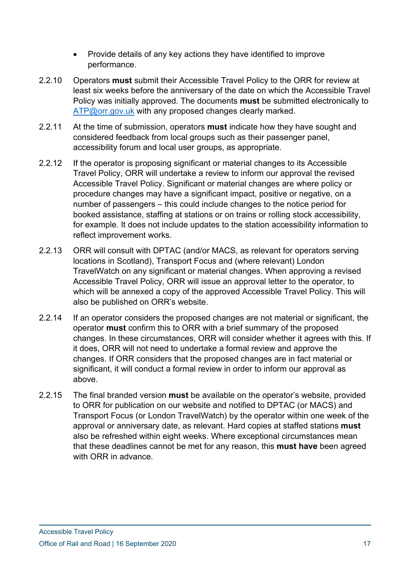- Provide details of any key actions they have identified to improve performance.
- 2.2.10 Operators **must** submit their Accessible Travel Policy to the ORR for review at least six weeks before the anniversary of the date on which the Accessible Travel Policy was initially approved. The documents **must** be submitted electronically to [ATP@orr.gov.uk](mailto:DPPP@orr.gov.uk) with any proposed changes clearly marked.
- 2.2.11 At the time of submission, operators **must** indicate how they have sought and considered feedback from local groups such as their passenger panel, accessibility forum and local user groups, as appropriate.
- 2.2.12 If the operator is proposing significant or material changes to its Accessible Travel Policy, ORR will undertake a review to inform our approval the revised Accessible Travel Policy. Significant or material changes are where policy or procedure changes may have a significant impact, positive or negative, on a number of passengers – this could include changes to the notice period for booked assistance, staffing at stations or on trains or rolling stock accessibility, for example. It does not include updates to the station accessibility information to reflect improvement works.
- 2.2.13 ORR will consult with DPTAC (and/or MACS, as relevant for operators serving locations in Scotland), Transport Focus and (where relevant) London TravelWatch on any significant or material changes. When approving a revised Accessible Travel Policy, ORR will issue an approval letter to the operator, to which will be annexed a copy of the approved Accessible Travel Policy. This will also be published on ORR's website.
- 2.2.14 If an operator considers the proposed changes are not material or significant, the operator **must** confirm this to ORR with a brief summary of the proposed changes. In these circumstances, ORR will consider whether it agrees with this. If it does, ORR will not need to undertake a formal review and approve the changes. If ORR considers that the proposed changes are in fact material or significant, it will conduct a formal review in order to inform our approval as above.
- 2.2.15 The final branded version **must** be available on the operator's website, provided to ORR for publication on our website and notified to DPTAC (or MACS) and Transport Focus (or London TravelWatch) by the operator within one week of the approval or anniversary date, as relevant. Hard copies at staffed stations **must**  also be refreshed within eight weeks. Where exceptional circumstances mean that these deadlines cannot be met for any reason, this **must have** been agreed with ORR in advance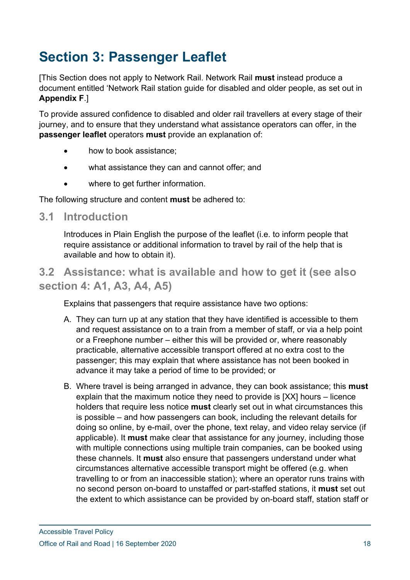# **Section 3: Passenger Leaflet**

[This Section does not apply to Network Rail. Network Rail **must** instead produce a document entitled 'Network Rail station guide for disabled and older people, as set out in **Appendix F**.]

To provide assured confidence to disabled and older rail travellers at every stage of their journey, and to ensure that they understand what assistance operators can offer, in the **passenger leaflet** operators **must** provide an explanation of:

- how to book assistance;
- what assistance they can and cannot offer; and
- where to get further information.

The following structure and content **must** be adhered to:

## **3.1 Introduction**

Introduces in Plain English the purpose of the leaflet (i.e. to inform people that require assistance or additional information to travel by rail of the help that is available and how to obtain it).

## **3.2 Assistance: what is available and how to get it (see also section 4: A1, A3, A4, A5)**

Explains that passengers that require assistance have two options:

- A. They can turn up at any station that they have identified is accessible to them and request assistance on to a train from a member of staff, or via a help point or a Freephone number – either this will be provided or, where reasonably practicable, alternative accessible transport offered at no extra cost to the passenger; this may explain that where assistance has not been booked in advance it may take a period of time to be provided; or
- B. Where travel is being arranged in advance, they can book assistance; this **must** explain that the maximum notice they need to provide is [XX] hours – licence holders that require less notice **must** clearly set out in what circumstances this is possible – and how passengers can book, including the relevant details for doing so online, by e-mail, over the phone, text relay, and video relay service (if applicable). It **must** make clear that assistance for any journey, including those with multiple connections using multiple train companies, can be booked using these channels. It **must** also ensure that passengers understand under what circumstances alternative accessible transport might be offered (e.g. when travelling to or from an inaccessible station); where an operator runs trains with no second person on-board to unstaffed or part-staffed stations, it **must** set out the extent to which assistance can be provided by on-board staff, station staff or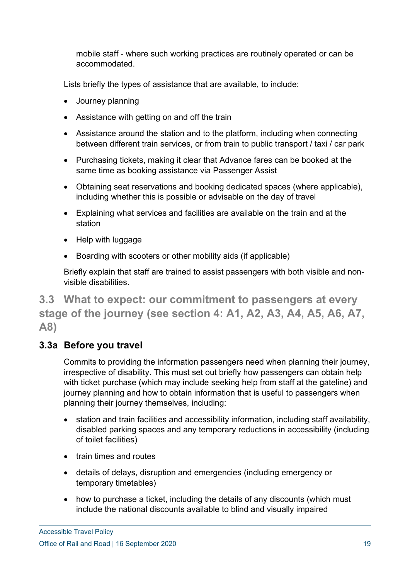mobile staff - where such working practices are routinely operated or can be accommodated.

Lists briefly the types of assistance that are available, to include:

- Journey planning
- Assistance with getting on and off the train
- Assistance around the station and to the platform, including when connecting between different train services, or from train to public transport / taxi / car park
- Purchasing tickets, making it clear that Advance fares can be booked at the same time as booking assistance via Passenger Assist
- Obtaining seat reservations and booking dedicated spaces (where applicable), including whether this is possible or advisable on the day of travel
- Explaining what services and facilities are available on the train and at the station
- Help with luggage
- Boarding with scooters or other mobility aids (if applicable)

Briefly explain that staff are trained to assist passengers with both visible and nonvisible disabilities.

**3.3 What to expect: our commitment to passengers at every stage of the journey (see section 4: A1, A2, A3, A4, A5, A6, A7, A8)**

## **3.3a Before you travel**

Commits to providing the information passengers need when planning their journey, irrespective of disability. This must set out briefly how passengers can obtain help with ticket purchase (which may include seeking help from staff at the gateline) and journey planning and how to obtain information that is useful to passengers when planning their journey themselves, including:

- station and train facilities and accessibility information, including staff availability, disabled parking spaces and any temporary reductions in accessibility (including of toilet facilities)
- train times and routes
- details of delays, disruption and emergencies (including emergency or temporary timetables)
- how to purchase a ticket, including the details of any discounts (which must include the national discounts available to blind and visually impaired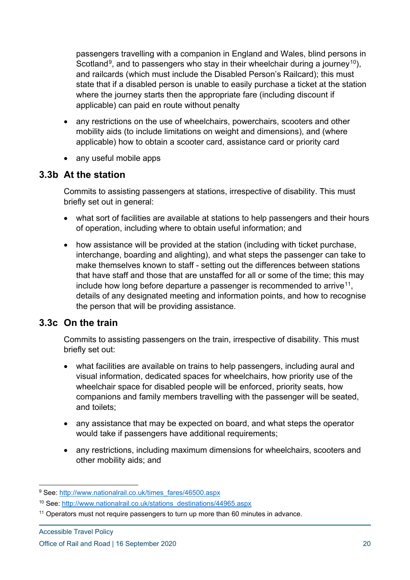passengers travelling with a companion in England and Wales, blind persons in Scotland<sup>[9](#page-19-0)</sup>, and to passengers who stay in their wheelchair during a journey<sup>[10](#page-19-1)</sup>), and railcards (which must include the Disabled Person's Railcard); this must state that if a disabled person is unable to easily purchase a ticket at the station where the journey starts then the appropriate fare (including discount if applicable) can paid en route without penalty

- any restrictions on the use of wheelchairs, powerchairs, scooters and other mobility aids (to include limitations on weight and dimensions), and (where applicable) how to obtain a scooter card, assistance card or priority card
- any useful mobile apps

#### **3.3b At the station**

Commits to assisting passengers at stations, irrespective of disability. This must briefly set out in general:

- what sort of facilities are available at stations to help passengers and their hours of operation, including where to obtain useful information; and
- how assistance will be provided at the station (including with ticket purchase, interchange, boarding and alighting), and what steps the passenger can take to make themselves known to staff - setting out the differences between stations that have staff and those that are unstaffed for all or some of the time; this may include how long before departure a passenger is recommended to arrive<sup>11</sup>, details of any designated meeting and information points, and how to recognise the person that will be providing assistance.

## **3.3c On the train**

Commits to assisting passengers on the train, irrespective of disability. This must briefly set out:

- what facilities are available on trains to help passengers, including aural and visual information, dedicated spaces for wheelchairs, how priority use of the wheelchair space for disabled people will be enforced, priority seats, how companions and family members travelling with the passenger will be seated, and toilets;
- any assistance that may be expected on board, and what steps the operator would take if passengers have additional requirements;
- any restrictions, including maximum dimensions for wheelchairs, scooters and other mobility aids; and

<span id="page-19-0"></span><sup>&</sup>lt;sup>9</sup> See: [http://www.nationalrail.co.uk/times\\_fares/46500.aspx](http://www.nationalrail.co.uk/times_fares/46500.aspx)

<span id="page-19-1"></span><sup>10</sup> See: [http://www.nationalrail.co.uk/stations\\_destinations/44965.aspx](http://www.nationalrail.co.uk/stations_destinations/44965.aspx)

<span id="page-19-2"></span><sup>11</sup> Operators must not require passengers to turn up more than 60 minutes in advance.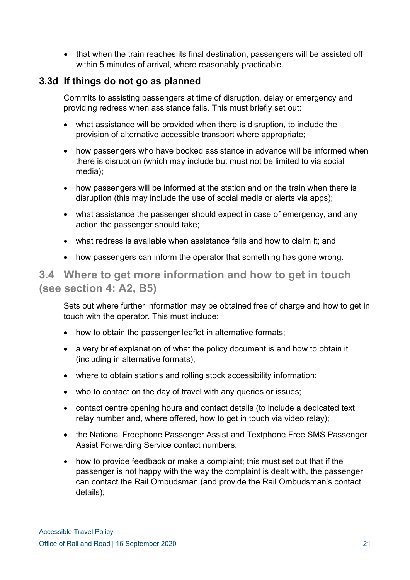• that when the train reaches its final destination, passengers will be assisted off within 5 minutes of arrival, where reasonably practicable.

## **3.3d If things do not go as planned**

Commits to assisting passengers at time of disruption, delay or emergency and providing redress when assistance fails. This must briefly set out:

- what assistance will be provided when there is disruption, to include the provision of alternative accessible transport where appropriate;
- how passengers who have booked assistance in advance will be informed when there is disruption (which may include but must not be limited to via social media);
- how passengers will be informed at the station and on the train when there is disruption (this may include the use of social media or alerts via apps);
- what assistance the passenger should expect in case of emergency, and any action the passenger should take;
- what redress is available when assistance fails and how to claim it; and
- how passengers can inform the operator that something has gone wrong.

## **3.4 Where to get more information and how to get in touch (see section 4: A2, B5)**

Sets out where further information may be obtained free of charge and how to get in touch with the operator. This must include:

- how to obtain the passenger leaflet in alternative formats:
- a very brief explanation of what the policy document is and how to obtain it (including in alternative formats);
- where to obtain stations and rolling stock accessibility information;
- who to contact on the day of travel with any queries or issues;
- contact centre opening hours and contact details (to include a dedicated text relay number and, where offered, how to get in touch via video relay);
- the National Freephone Passenger Assist and Textphone Free SMS Passenger Assist Forwarding Service contact numbers;
- how to provide feedback or make a complaint; this must set out that if the passenger is not happy with the way the complaint is dealt with, the passenger can contact the Rail Ombudsman (and provide the Rail Ombudsman's contact details);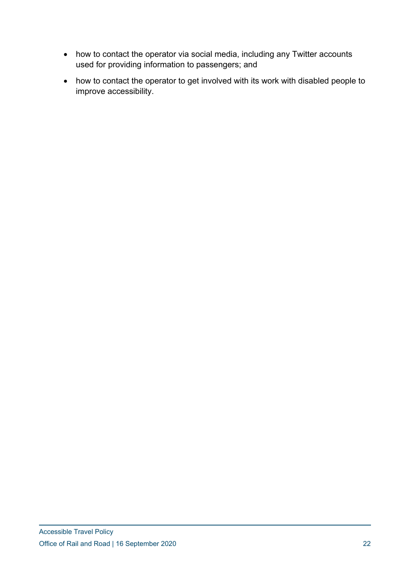- how to contact the operator via social media, including any Twitter accounts used for providing information to passengers; and
- how to contact the operator to get involved with its work with disabled people to improve accessibility.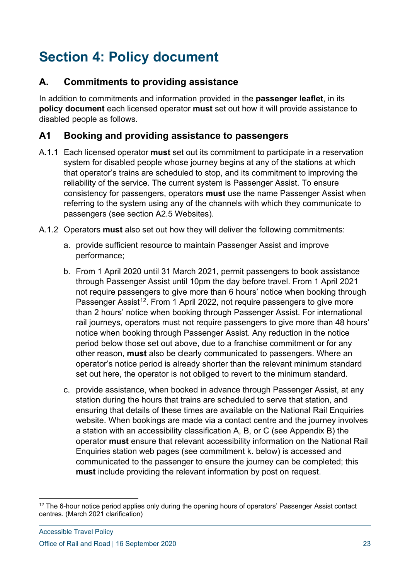# **Section 4: Policy document**

## **A. Commitments to providing assistance**

In addition to commitments and information provided in the **passenger leaflet**, in its **policy document** each licensed operator **must** set out how it will provide assistance to disabled people as follows.

## **A1 Booking and providing assistance to passengers**

- A.1.1 Each licensed operator **must** set out its commitment to participate in a reservation system for disabled people whose journey begins at any of the stations at which that operator's trains are scheduled to stop, and its commitment to improving the reliability of the service. The current system is Passenger Assist. To ensure consistency for passengers, operators **must** use the name Passenger Assist when referring to the system using any of the channels with which they communicate to passengers (see section A2.5 Websites).
- A.1.2 Operators **must** also set out how they will deliver the following commitments:
	- a. provide sufficient resource to maintain Passenger Assist and improve performance;
	- b. From 1 April 2020 until 31 March 2021, permit passengers to book assistance through Passenger Assist until 10pm the day before travel. From 1 April 2021 not require passengers to give more than 6 hours' notice when booking through Passenger Assist<sup>[12](#page-22-0)</sup>. From 1 April 2022, not require passengers to give more than 2 hours' notice when booking through Passenger Assist. For international rail journeys, operators must not require passengers to give more than 48 hours' notice when booking through Passenger Assist. Any reduction in the notice period below those set out above, due to a franchise commitment or for any other reason, **must** also be clearly communicated to passengers. Where an operator's notice period is already shorter than the relevant minimum standard set out here, the operator is not obliged to revert to the minimum standard.
	- c. provide assistance, when booked in advance through Passenger Assist, at any station during the hours that trains are scheduled to serve that station, and ensuring that details of these times are available on the National Rail Enquiries website. When bookings are made via a contact centre and the journey involves a station with an accessibility classification A, B, or C (see Appendix B) the operator **must** ensure that relevant accessibility information on the National Rail Enquiries station web pages (see commitment k. below) is accessed and communicated to the passenger to ensure the journey can be completed; this **must** include providing the relevant information by post on request.

<span id="page-22-0"></span> $12$  The 6-hour notice period applies only during the opening hours of operators' Passenger Assist contact centres. (March 2021 clarification)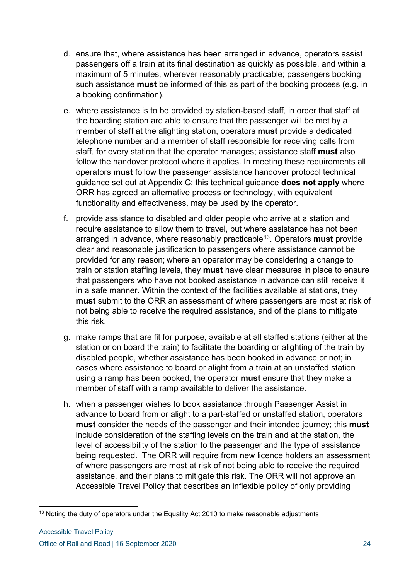- d. ensure that, where assistance has been arranged in advance, operators assist passengers off a train at its final destination as quickly as possible, and within a maximum of 5 minutes, wherever reasonably practicable; passengers booking such assistance **must** be informed of this as part of the booking process (e.g. in a booking confirmation).
- e. where assistance is to be provided by station-based staff, in order that staff at the boarding station are able to ensure that the passenger will be met by a member of staff at the alighting station, operators **must** provide a dedicated telephone number and a member of staff responsible for receiving calls from staff, for every station that the operator manages; assistance staff **must** also follow the handover protocol where it applies. In meeting these requirements all operators **must** follow the passenger assistance handover protocol technical guidance set out at Appendix C; this technical guidance **does not apply** where ORR has agreed an alternative process or technology, with equivalent functionality and effectiveness, may be used by the operator.
- f. provide assistance to disabled and older people who arrive at a station and require assistance to allow them to travel, but where assistance has not been arranged in advance, where reasonably practicable[13.](#page-23-0) Operators **must** provide clear and reasonable justification to passengers where assistance cannot be provided for any reason; where an operator may be considering a change to train or station staffing levels, they **must** have clear measures in place to ensure that passengers who have not booked assistance in advance can still receive it in a safe manner. Within the context of the facilities available at stations, they **must** submit to the ORR an assessment of where passengers are most at risk of not being able to receive the required assistance, and of the plans to mitigate this risk.
- g. make ramps that are fit for purpose, available at all staffed stations (either at the station or on board the train) to facilitate the boarding or alighting of the train by disabled people, whether assistance has been booked in advance or not; in cases where assistance to board or alight from a train at an unstaffed station using a ramp has been booked, the operator **must** ensure that they make a member of staff with a ramp available to deliver the assistance.
- h. when a passenger wishes to book assistance through Passenger Assist in advance to board from or alight to a part-staffed or unstaffed station, operators **must** consider the needs of the passenger and their intended journey; this **must**  include consideration of the staffing levels on the train and at the station, the level of accessibility of the station to the passenger and the type of assistance being requested. The ORR will require from new licence holders an assessment of where passengers are most at risk of not being able to receive the required assistance, and their plans to mitigate this risk. The ORR will not approve an Accessible Travel Policy that describes an inflexible policy of only providing

<span id="page-23-0"></span><sup>&</sup>lt;sup>13</sup> Noting the duty of operators under the Equality Act 2010 to make reasonable adjustments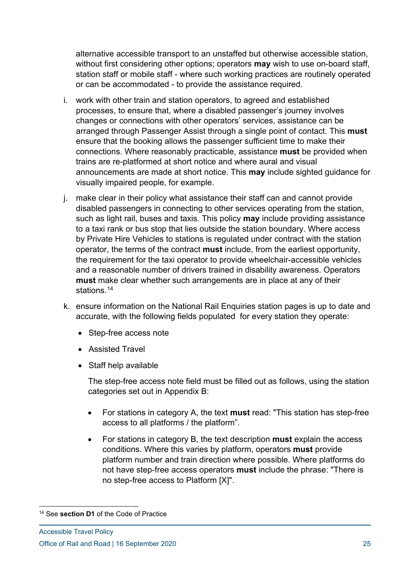alternative accessible transport to an unstaffed but otherwise accessible station, without first considering other options; operators **may** wish to use on-board staff, station staff or mobile staff - where such working practices are routinely operated or can be accommodated - to provide the assistance required.

- i. work with other train and station operators, to agreed and established processes, to ensure that, where a disabled passenger's journey involves changes or connections with other operators' services, assistance can be arranged through Passenger Assist through a single point of contact. This **must** ensure that the booking allows the passenger sufficient time to make their connections. Where reasonably practicable, assistance **must** be provided when trains are re-platformed at short notice and where aural and visual announcements are made at short notice. This **may** include sighted guidance for visually impaired people, for example.
- j. make clear in their policy what assistance their staff can and cannot provide disabled passengers in connecting to other services operating from the station, such as light rail, buses and taxis. This policy **may** include providing assistance to a taxi rank or bus stop that lies outside the station boundary. Where access by Private Hire Vehicles to stations is regulated under contract with the station operator, the terms of the contract **must** include, from the earliest opportunity, the requirement for the taxi operator to provide wheelchair-accessible vehicles and a reasonable number of drivers trained in disability awareness. Operators **must** make clear whether such arrangements are in place at any of their stations.<sup>[14](#page-24-0)</sup>
- k. ensure information on the National Rail Enquiries station pages is up to date and accurate, with the following fields populated for every station they operate:
	- Step-free access note
	- Assisted Travel
	- Staff help available

The step-free access note field must be filled out as follows, using the station categories set out in Appendix B:

- For stations in category A, the text **must** read: "This station has step-free access to all platforms / the platform".
- For stations in category B, the text description **must** explain the access conditions. Where this varies by platform, operators **must** provide platform number and train direction where possible. Where platforms do not have step-free access operators **must** include the phrase: "There is no step-free access to Platform [X]".

<span id="page-24-0"></span><sup>14</sup> See **section D1** of the Code of Practice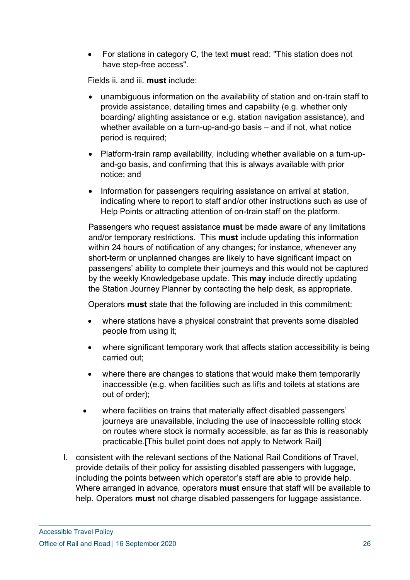• For stations in category C, the text **mus**t read: "This station does not have step-free access".

Fields ii. and iii. **must** include:

- unambiguous information on the availability of station and on-train staff to provide assistance, detailing times and capability (e.g. whether only boarding/ alighting assistance or e.g. station navigation assistance), and whether available on a turn-up-and-go basis – and if not, what notice period is required;
- Platform-train ramp availability, including whether available on a turn-upand-go basis, and confirming that this is always available with prior notice; and
- Information for passengers requiring assistance on arrival at station, indicating where to report to staff and/or other instructions such as use of Help Points or attracting attention of on-train staff on the platform.

Passengers who request assistance **must** be made aware of any limitations and/or temporary restrictions. This **must** include updating this information within 24 hours of notification of any changes; for instance, whenever any short-term or unplanned changes are likely to have significant impact on passengers' ability to complete their journeys and this would not be captured by the weekly Knowledgebase update. This **may** include directly updating the Station Journey Planner by contacting the help desk, as appropriate.

Operators **must** state that the following are included in this commitment:

- where stations have a physical constraint that prevents some disabled people from using it;
- where significant temporary work that affects station accessibility is being carried out;
- where there are changes to stations that would make them temporarily inaccessible (e.g. when facilities such as lifts and toilets at stations are out of order);
- where facilities on trains that materially affect disabled passengers' journeys are unavailable, including the use of inaccessible rolling stock on routes where stock is normally accessible, as far as this is reasonably practicable.[This bullet point does not apply to Network Rail]
- l. consistent with the relevant sections of the National Rail Conditions of Travel, provide details of their policy for assisting disabled passengers with luggage, including the points between which operator's staff are able to provide help. Where arranged in advance, operators **must** ensure that staff will be available to help. Operators **must** not charge disabled passengers for luggage assistance.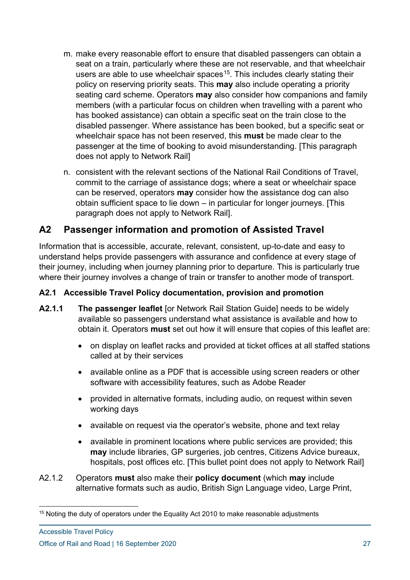- m. make every reasonable effort to ensure that disabled passengers can obtain a seat on a train, particularly where these are not reservable, and that wheelchair users are able to use wheelchair spaces<sup>15</sup>. This includes clearly stating their policy on reserving priority seats. This **may** also include operating a priority seating card scheme. Operators **may** also consider how companions and family members (with a particular focus on children when travelling with a parent who has booked assistance) can obtain a specific seat on the train close to the disabled passenger. Where assistance has been booked, but a specific seat or wheelchair space has not been reserved, this **must** be made clear to the passenger at the time of booking to avoid misunderstanding. [This paragraph does not apply to Network Rail]
- n. consistent with the relevant sections of the National Rail Conditions of Travel, commit to the carriage of assistance dogs; where a seat or wheelchair space can be reserved, operators **may** consider how the assistance dog can also obtain sufficient space to lie down – in particular for longer journeys. [This paragraph does not apply to Network Rail].

## **A2 Passenger information and promotion of Assisted Travel**

Information that is accessible, accurate, relevant, consistent, up-to-date and easy to understand helps provide passengers with assurance and confidence at every stage of their journey, including when journey planning prior to departure. This is particularly true where their journey involves a change of train or transfer to another mode of transport.

#### **A2.1 Accessible Travel Policy documentation, provision and promotion**

- **A2.1.1 The passenger leaflet** [or Network Rail Station Guide] needs to be widely available so passengers understand what assistance is available and how to obtain it. Operators **must** set out how it will ensure that copies of this leaflet are:
	- on display on leaflet racks and provided at ticket offices at all staffed stations called at by their services
	- available online as a PDF that is accessible using screen readers or other software with accessibility features, such as Adobe Reader
	- provided in alternative formats, including audio, on request within seven working days
	- available on request via the operator's website, phone and text relay
	- available in prominent locations where public services are provided; this **may** include libraries, GP surgeries, job centres, Citizens Advice bureaux, hospitals, post offices etc. [This bullet point does not apply to Network Rail]
- A2.1.2 Operators **must** also make their **policy document** (which **may** include alternative formats such as audio, British Sign Language video, Large Print,

<span id="page-26-0"></span><sup>&</sup>lt;sup>15</sup> Noting the duty of operators under the Equality Act 2010 to make reasonable adjustments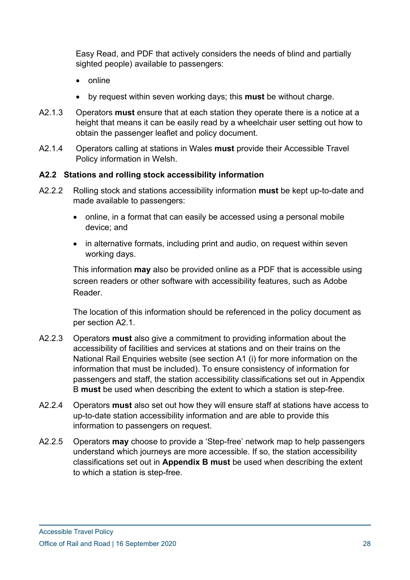Easy Read, and PDF that actively considers the needs of blind and partially sighted people) available to passengers:

- online
- by request within seven working days; this **must** be without charge.
- A2.1.3 Operators **must** ensure that at each station they operate there is a notice at a height that means it can be easily read by a wheelchair user setting out how to obtain the passenger leaflet and policy document.
- A2.1.4 Operators calling at stations in Wales **must** provide their Accessible Travel Policy information in Welsh.

#### **A2.2 Stations and rolling stock accessibility information**

- A2.2.2 Rolling stock and stations accessibility information **must** be kept up-to-date and made available to passengers:
	- online, in a format that can easily be accessed using a personal mobile device; and
	- in alternative formats, including print and audio, on request within seven working days.

This information **may** also be provided online as a PDF that is accessible using screen readers or other software with accessibility features, such as Adobe Reader.

The location of this information should be referenced in the policy document as per section A2.1.

- A2.2.3 Operators **must** also give a commitment to providing information about the accessibility of facilities and services at stations and on their trains on the National Rail Enquiries website (see section A1 (i) for more information on the information that must be included). To ensure consistency of information for passengers and staff, the station accessibility classifications set out in Appendix B **must** be used when describing the extent to which a station is step-free.
- A2.2.4 Operators **must** also set out how they will ensure staff at stations have access to up-to-date station accessibility information and are able to provide this information to passengers on request.
- A2.2.5 Operators **may** choose to provide a 'Step-free' network map to help passengers understand which journeys are more accessible. If so, the station accessibility classifications set out in **Appendix B must** be used when describing the extent to which a station is step-free.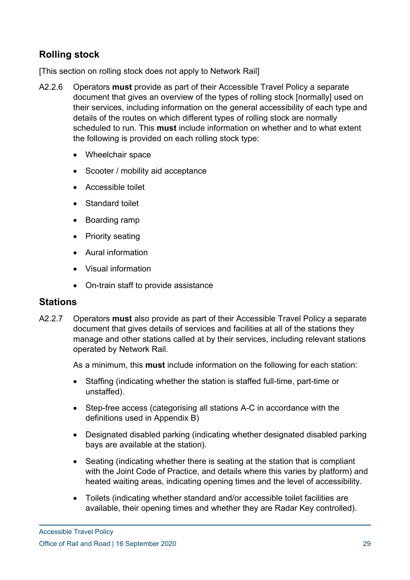## **Rolling stock**

[This section on rolling stock does not apply to Network Rail]

- A2.2.6 Operators **must** provide as part of their Accessible Travel Policy a separate document that gives an overview of the types of rolling stock [normally] used on their services, including information on the general accessibility of each type and details of the routes on which different types of rolling stock are normally scheduled to run. This **must** include information on whether and to what extent the following is provided on each rolling stock type:
	- Wheelchair space
	- Scooter / mobility aid acceptance
	- Accessible toilet
	- Standard toilet
	- Boarding ramp
	- Priority seating
	- Aural information
	- Visual information
	- On-train staff to provide assistance

#### **Stations**

A2.2.7 Operators **must** also provide as part of their Accessible Travel Policy a separate document that gives details of services and facilities at all of the stations they manage and other stations called at by their services, including relevant stations operated by Network Rail.

As a minimum, this **must** include information on the following for each station:

- Staffing (indicating whether the station is staffed full-time, part-time or unstaffed).
- Step-free access (categorising all stations A-C in accordance with the definitions used in Appendix B)
- Designated disabled parking (indicating whether designated disabled parking bays are available at the station).
- Seating (indicating whether there is seating at the station that is compliant with the Joint Code of Practice, and details where this varies by platform) and heated waiting areas, indicating opening times and the level of accessibility.
- Toilets (indicating whether standard and/or accessible toilet facilities are available, their opening times and whether they are Radar Key controlled).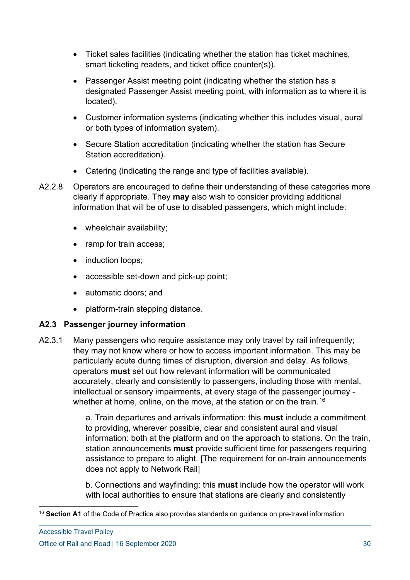- Ticket sales facilities (indicating whether the station has ticket machines, smart ticketing readers, and ticket office counter(s)).
- Passenger Assist meeting point (indicating whether the station has a designated Passenger Assist meeting point, with information as to where it is located).
- Customer information systems (indicating whether this includes visual, aural or both types of information system).
- Secure Station accreditation (indicating whether the station has Secure Station accreditation).
- Catering (indicating the range and type of facilities available).
- A2.2.8 Operators are encouraged to define their understanding of these categories more clearly if appropriate. They **may** also wish to consider providing additional information that will be of use to disabled passengers, which might include:
	- wheelchair availability;
	- ramp for train access;
	- induction loops;
	- accessible set-down and pick-up point;
	- automatic doors; and
	- platform-train stepping distance.

#### **A2.3 Passenger journey information**

A2.3.1 Many passengers who require assistance may only travel by rail infrequently; they may not know where or how to access important information. This may be particularly acute during times of disruption, diversion and delay. As follows, operators **must** set out how relevant information will be communicated accurately, clearly and consistently to passengers, including those with mental, intellectual or sensory impairments, at every stage of the passenger journey - whether at home, online, on the move, at the station or on the train.<sup>[16](#page-29-0)</sup>

> a. Train departures and arrivals information: this **must** include a commitment to providing, wherever possible, clear and consistent aural and visual information: both at the platform and on the approach to stations. On the train, station announcements **must** provide sufficient time for passengers requiring assistance to prepare to alight. [The requirement for on-train announcements does not apply to Network Rail]

b. Connections and wayfinding: this **must** include how the operator will work with local authorities to ensure that stations are clearly and consistently

<span id="page-29-0"></span><sup>16</sup> **Section A1** of the Code of Practice also provides standards on guidance on pre-travel information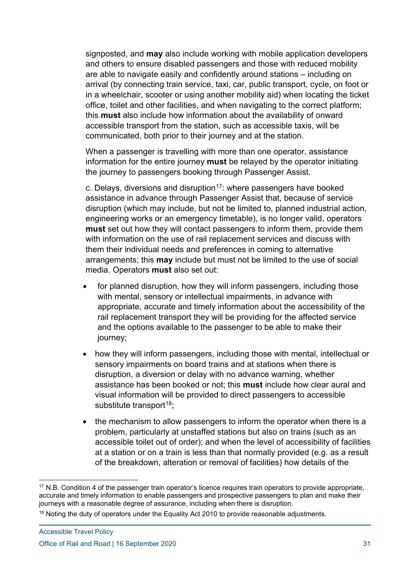signposted, and **may** also include working with mobile application developers and others to ensure disabled passengers and those with reduced mobility are able to navigate easily and confidently around stations – including on arrival (by connecting train service, taxi, car, public transport, cycle, on foot or in a wheelchair, scooter or using another mobility aid) when locating the ticket office, toilet and other facilities, and when navigating to the correct platform; this **must** also include how information about the availability of onward accessible transport from the station, such as accessible taxis, will be communicated, both prior to their journey and at the station.

When a passenger is travelling with more than one operator, assistance information for the entire journey **must** be relayed by the operator initiating the journey to passengers booking through Passenger Assist.

c. Delays, diversions and disruption<sup>17</sup>; where passengers have booked assistance in advance through Passenger Assist that, because of service disruption (which may include, but not be limited to, planned industrial action, engineering works or an emergency timetable), is no longer valid, operators **must** set out how they will contact passengers to inform them, provide them with information on the use of rail replacement services and discuss with them their individual needs and preferences in coming to alternative arrangements; this **may** include but must not be limited to the use of social media. Operators **must** also set out:

- for planned disruption, how they will inform passengers, including those with mental, sensory or intellectual impairments, in advance with appropriate, accurate and timely information about the accessibility of the rail replacement transport they will be providing for the affected service and the options available to the passenger to be able to make their journey;
- how they will inform passengers, including those with mental, intellectual or sensory impairments on board trains and at stations when there is disruption, a diversion or delay with no advance warning, whether assistance has been booked or not; this **must** include how clear aural and visual information will be provided to direct passengers to accessible substitute transport $18$ ;
- the mechanism to allow passengers to inform the operator when there is a problem, particularly at unstaffed stations but also on trains (such as an accessible toilet out of order); and when the level of accessibility of facilities at a station or on a train is less than that normally provided (e.g. as a result of the breakdown, alteration or removal of facilities) how details of the

<span id="page-30-0"></span> $17$  N.B. Condition 4 of the passenger train operator's licence requires train operators to provide appropriate, accurate and timely information to enable passengers and prospective passengers to plan and make their journeys with a reasonable degree of assurance, including when there is disruption.

<span id="page-30-1"></span><sup>&</sup>lt;sup>18</sup> Noting the duty of operators under the Equality Act 2010 to provide reasonable adjustments.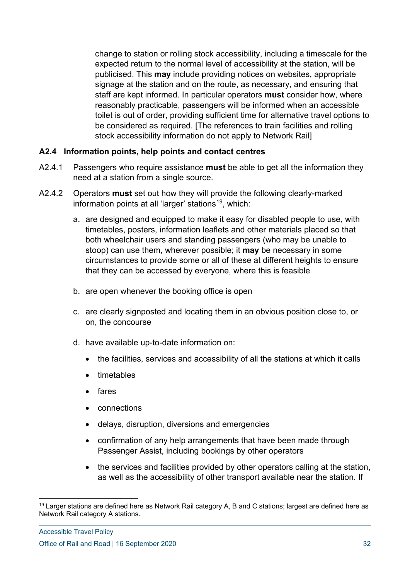change to station or rolling stock accessibility, including a timescale for the expected return to the normal level of accessibility at the station, will be publicised. This **may** include providing notices on websites, appropriate signage at the station and on the route, as necessary, and ensuring that staff are kept informed. In particular operators **must** consider how, where reasonably practicable, passengers will be informed when an accessible toilet is out of order, providing sufficient time for alternative travel options to be considered as required. [The references to train facilities and rolling stock accessibility information do not apply to Network Rail]

#### **A2.4 Information points, help points and contact centres**

- A2.4.1 Passengers who require assistance **must** be able to get all the information they need at a station from a single source.
- A2.4.2 Operators **must** set out how they will provide the following clearly-marked information points at all 'larger' stations<sup>[19](#page-31-0)</sup>, which:
	- a. are designed and equipped to make it easy for disabled people to use, with timetables, posters, information leaflets and other materials placed so that both wheelchair users and standing passengers (who may be unable to stoop) can use them, wherever possible; it **may** be necessary in some circumstances to provide some or all of these at different heights to ensure that they can be accessed by everyone, where this is feasible
	- b. are open whenever the booking office is open
	- c. are clearly signposted and locating them in an obvious position close to, or on, the concourse
	- d. have available up-to-date information on:
		- the facilities, services and accessibility of all the stations at which it calls
		- timetables
		- fares
		- connections
		- delays, disruption, diversions and emergencies
		- confirmation of any help arrangements that have been made through Passenger Assist, including bookings by other operators
		- the services and facilities provided by other operators calling at the station, as well as the accessibility of other transport available near the station. If

<span id="page-31-0"></span><sup>&</sup>lt;sup>19</sup> Larger stations are defined here as Network Rail category A, B and C stations; largest are defined here as Network Rail category A stations.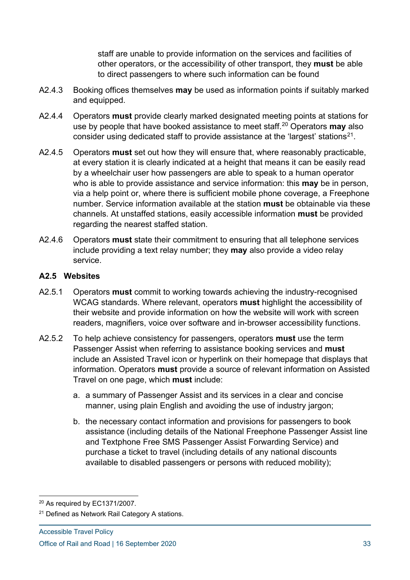staff are unable to provide information on the services and facilities of other operators, or the accessibility of other transport, they **must** be able to direct passengers to where such information can be found

- A2.4.3 Booking offices themselves **may** be used as information points if suitably marked and equipped.
- A2.4.4 Operators **must** provide clearly marked designated meeting points at stations for use by people that have booked assistance to meet staff.[20](#page-32-0) Operators **may** also consider using dedicated staff to provide assistance at the 'largest' stations<sup>[21](#page-32-1)</sup>.
- A2.4.5 Operators **must** set out how they will ensure that, where reasonably practicable, at every station it is clearly indicated at a height that means it can be easily read by a wheelchair user how passengers are able to speak to a human operator who is able to provide assistance and service information: this **may** be in person, via a help point or, where there is sufficient mobile phone coverage, a Freephone number. Service information available at the station **must** be obtainable via these channels. At unstaffed stations, easily accessible information **must** be provided regarding the nearest staffed station.
- A2.4.6 Operators **must** state their commitment to ensuring that all telephone services include providing a text relay number; they **may** also provide a video relay service.

#### **A2.5 Websites**

- A2.5.1 Operators **must** commit to working towards achieving the industry-recognised WCAG standards. Where relevant, operators **must** highlight the accessibility of their website and provide information on how the website will work with screen readers, magnifiers, voice over software and in-browser accessibility functions.
- A2.5.2 To help achieve consistency for passengers, operators **must** use the term Passenger Assist when referring to assistance booking services and **must** include an Assisted Travel icon or hyperlink on their homepage that displays that information. Operators **must** provide a source of relevant information on Assisted Travel on one page, which **must** include:
	- a. a summary of Passenger Assist and its services in a clear and concise manner, using plain English and avoiding the use of industry jargon;
	- b. the necessary contact information and provisions for passengers to book assistance (including details of the National Freephone Passenger Assist line and Textphone Free SMS Passenger Assist Forwarding Service) and purchase a ticket to travel (including details of any national discounts available to disabled passengers or persons with reduced mobility);

<span id="page-32-0"></span><sup>20</sup> As required by EC1371/2007.

<span id="page-32-1"></span><sup>&</sup>lt;sup>21</sup> Defined as Network Rail Category A stations.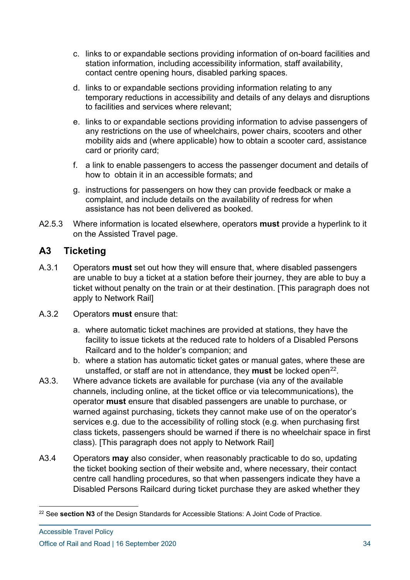- c. links to or expandable sections providing information of on-board facilities and station information, including accessibility information, staff availability, contact centre opening hours, disabled parking spaces.
- d. links to or expandable sections providing information relating to any temporary reductions in accessibility and details of any delays and disruptions to facilities and services where relevant;
- e. links to or expandable sections providing information to advise passengers of any restrictions on the use of wheelchairs, power chairs, scooters and other mobility aids and (where applicable) how to obtain a scooter card, assistance card or priority card;
- f. a link to enable passengers to access the passenger document and details of how to obtain it in an accessible formats; and
- g. instructions for passengers on how they can provide feedback or make a complaint, and include details on the availability of redress for when assistance has not been delivered as booked.
- A2.5.3 Where information is located elsewhere, operators **must** provide a hyperlink to it on the Assisted Travel page.

## **A3 Ticketing**

- A.3.1 Operators **must** set out how they will ensure that, where disabled passengers are unable to buy a ticket at a station before their journey, they are able to buy a ticket without penalty on the train or at their destination. [This paragraph does not apply to Network Rail]
- A.3.2 Operators **must** ensure that:
	- a. where automatic ticket machines are provided at stations, they have the facility to issue tickets at the reduced rate to holders of a Disabled Persons Railcard and to the holder's companion; and
	- b. where a station has automatic ticket gates or manual gates, where these are unstaffed, or staff are not in attendance, they **must** be locked open<sup>22</sup>.
- A3.3. Where advance tickets are available for purchase (via any of the available channels, including online, at the ticket office or via telecommunications), the operator **must** ensure that disabled passengers are unable to purchase, or warned against purchasing, tickets they cannot make use of on the operator's services e.g. due to the accessibility of rolling stock (e.g. when purchasing first class tickets, passengers should be warned if there is no wheelchair space in first class). [This paragraph does not apply to Network Rail]
- A3.4 Operators **may** also consider, when reasonably practicable to do so, updating the ticket booking section of their website and, where necessary, their contact centre call handling procedures, so that when passengers indicate they have a Disabled Persons Railcard during ticket purchase they are asked whether they

<span id="page-33-0"></span><sup>22</sup> See **section N3** of the Design Standards for Accessible Stations: A Joint Code of Practice.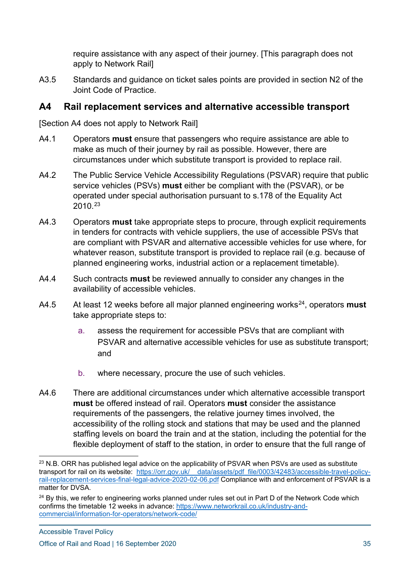require assistance with any aspect of their journey. [This paragraph does not apply to Network Rail]

A3.5 Standards and guidance on ticket sales points are provided in section N2 of the Joint Code of Practice.

#### **A4 Rail replacement services and alternative accessible transport**

[Section A4 does not apply to Network Rail]

- A4.1 Operators **must** ensure that passengers who require assistance are able to make as much of their journey by rail as possible. However, there are circumstances under which substitute transport is provided to replace rail.
- A4.2 The Public Service Vehicle Accessibility Regulations (PSVAR) require that public service vehicles (PSVs) **must** either be compliant with the (PSVAR), or be operated under special authorisation pursuant to s.178 of the Equality Act 2010.[23](#page-34-0)
- A4.3 Operators **must** take appropriate steps to procure, through explicit requirements in tenders for contracts with vehicle suppliers, the use of accessible PSVs that are compliant with PSVAR and alternative accessible vehicles for use where, for whatever reason, substitute transport is provided to replace rail (e.g. because of planned engineering works, industrial action or a replacement timetable).
- A4.4 Such contracts **must** be reviewed annually to consider any changes in the availability of accessible vehicles.
- A4.5 At least 12 weeks before all major planned engineering works<sup>24</sup>, operators **must** take appropriate steps to:
	- a. assess the requirement for accessible PSVs that are compliant with PSVAR and alternative accessible vehicles for use as substitute transport; and
	- b. where necessary, procure the use of such vehicles.
- A4.6 There are additional circumstances under which alternative accessible transport **must** be offered instead of rail. Operators **must** consider the assistance requirements of the passengers, the relative journey times involved, the accessibility of the rolling stock and stations that may be used and the planned staffing levels on board the train and at the station, including the potential for the flexible deployment of staff to the station, in order to ensure that the full range of

<span id="page-34-0"></span> $^{23}$  N.B. ORR has published legal advice on the applicability of PSVAR when PSVs are used as substitute transport for rail on its website: [https://orr.gov.uk/\\_\\_data/assets/pdf\\_file/0003/42483/accessible-travel-policy](https://orr.gov.uk/__data/assets/pdf_file/0003/42483/accessible-travel-policy-rail-replacement-services-final-legal-advice-2020-02-06.pdf)[rail-replacement-services-final-legal-advice-2020-02-06.pdf](https://orr.gov.uk/__data/assets/pdf_file/0003/42483/accessible-travel-policy-rail-replacement-services-final-legal-advice-2020-02-06.pdf) Compliance with and enforcement of PSVAR is a matter for DVSA.

<span id="page-34-1"></span><sup>&</sup>lt;sup>24</sup> By this, we refer to engineering works planned under rules set out in Part D of the Network Code which confirms the timetable 12 weeks in advance: [https://www.networkrail.co.uk/industry-and](https://www.networkrail.co.uk/industry-and-commercial/information-for-operators/network-code/)[commercial/information-for-operators/network-code/](https://www.networkrail.co.uk/industry-and-commercial/information-for-operators/network-code/)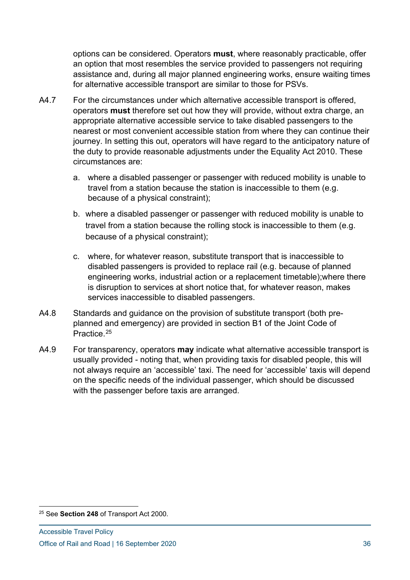options can be considered. Operators **must**, where reasonably practicable, offer an option that most resembles the service provided to passengers not requiring assistance and, during all major planned engineering works, ensure waiting times for alternative accessible transport are similar to those for PSVs.

- A4.7 For the circumstances under which alternative accessible transport is offered, operators **must** therefore set out how they will provide, without extra charge, an appropriate alternative accessible service to take disabled passengers to the nearest or most convenient accessible station from where they can continue their journey. In setting this out, operators will have regard to the anticipatory nature of the duty to provide reasonable adjustments under the Equality Act 2010. These circumstances are:
	- a. where a disabled passenger or passenger with reduced mobility is unable to travel from a station because the station is inaccessible to them (e.g. because of a physical constraint);
	- b. where a disabled passenger or passenger with reduced mobility is unable to travel from a station because the rolling stock is inaccessible to them (e.g. because of a physical constraint);
	- c. where, for whatever reason, substitute transport that is inaccessible to disabled passengers is provided to replace rail (e.g. because of planned engineering works, industrial action or a replacement timetable);where there is disruption to services at short notice that, for whatever reason, makes services inaccessible to disabled passengers.
- A4.8 Standards and guidance on the provision of substitute transport (both preplanned and emergency) are provided in section B1 of the Joint Code of Practice.<sup>[25](#page-35-0)</sup>
- A4.9 For transparency, operators **may** indicate what alternative accessible transport is usually provided - noting that, when providing taxis for disabled people, this will not always require an 'accessible' taxi. The need for 'accessible' taxis will depend on the specific needs of the individual passenger, which should be discussed with the passenger before taxis are arranged.

<span id="page-35-0"></span><sup>25</sup> See **Section 248** of Transport Act 2000.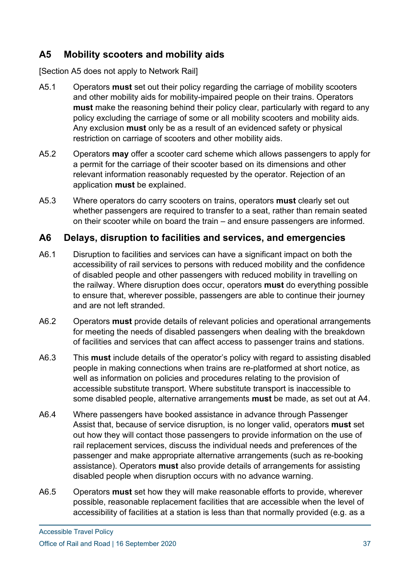## **A5 Mobility scooters and mobility aids**

[Section A5 does not apply to Network Rail]

- A5.1 Operators **must** set out their policy regarding the carriage of mobility scooters and other mobility aids for mobility-impaired people on their trains. Operators **must** make the reasoning behind their policy clear, particularly with regard to any policy excluding the carriage of some or all mobility scooters and mobility aids. Any exclusion **must** only be as a result of an evidenced safety or physical restriction on carriage of scooters and other mobility aids.
- A5.2 Operators **may** offer a scooter card scheme which allows passengers to apply for a permit for the carriage of their scooter based on its dimensions and other relevant information reasonably requested by the operator. Rejection of an application **must** be explained.
- A5.3 Where operators do carry scooters on trains, operators **must** clearly set out whether passengers are required to transfer to a seat, rather than remain seated on their scooter while on board the train – and ensure passengers are informed.

## **A6 Delays, disruption to facilities and services, and emergencies**

- A6.1 Disruption to facilities and services can have a significant impact on both the accessibility of rail services to persons with reduced mobility and the confidence of disabled people and other passengers with reduced mobility in travelling on the railway. Where disruption does occur, operators **must** do everything possible to ensure that, wherever possible, passengers are able to continue their journey and are not left stranded.
- A6.2 Operators **must** provide details of relevant policies and operational arrangements for meeting the needs of disabled passengers when dealing with the breakdown of facilities and services that can affect access to passenger trains and stations.
- A6.3 This **must** include details of the operator's policy with regard to assisting disabled people in making connections when trains are re-platformed at short notice, as well as information on policies and procedures relating to the provision of accessible substitute transport. Where substitute transport is inaccessible to some disabled people, alternative arrangements **must** be made, as set out at A4.
- A6.4 Where passengers have booked assistance in advance through Passenger Assist that, because of service disruption, is no longer valid, operators **must** set out how they will contact those passengers to provide information on the use of rail replacement services, discuss the individual needs and preferences of the passenger and make appropriate alternative arrangements (such as re-booking assistance). Operators **must** also provide details of arrangements for assisting disabled people when disruption occurs with no advance warning.
- A6.5 Operators **must** set how they will make reasonable efforts to provide, wherever possible, reasonable replacement facilities that are accessible when the level of accessibility of facilities at a station is less than that normally provided (e.g. as a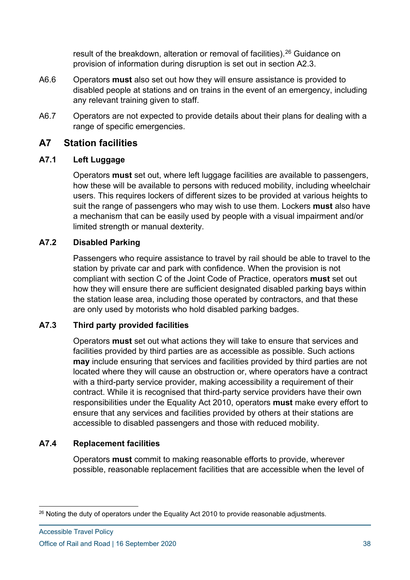result of the breakdown, alteration or removal of facilities).<sup>[26](#page-37-0)</sup> Guidance on provision of information during disruption is set out in section A2.3.

- A6.6 Operators **must** also set out how they will ensure assistance is provided to disabled people at stations and on trains in the event of an emergency, including any relevant training given to staff.
- A6.7 Operators are not expected to provide details about their plans for dealing with a range of specific emergencies.

#### **A7 Station facilities**

#### **A7.1 Left Luggage**

Operators **must** set out, where left luggage facilities are available to passengers, how these will be available to persons with reduced mobility, including wheelchair users. This requires lockers of different sizes to be provided at various heights to suit the range of passengers who may wish to use them. Lockers **must** also have a mechanism that can be easily used by people with a visual impairment and/or limited strength or manual dexterity.

#### **A7.2 Disabled Parking**

Passengers who require assistance to travel by rail should be able to travel to the station by private car and park with confidence. When the provision is not compliant with section C of the Joint Code of Practice, operators **must** set out how they will ensure there are sufficient designated disabled parking bays within the station lease area, including those operated by contractors, and that these are only used by motorists who hold disabled parking badges.

#### **A7.3 Third party provided facilities**

Operators **must** set out what actions they will take to ensure that services and facilities provided by third parties are as accessible as possible. Such actions **may** include ensuring that services and facilities provided by third parties are not located where they will cause an obstruction or, where operators have a contract with a third-party service provider, making accessibility a requirement of their contract. While it is recognised that third-party service providers have their own responsibilities under the Equality Act 2010, operators **must** make every effort to ensure that any services and facilities provided by others at their stations are accessible to disabled passengers and those with reduced mobility.

#### **A7.4 Replacement facilities**

Operators **must** commit to making reasonable efforts to provide, wherever possible, reasonable replacement facilities that are accessible when the level of

<span id="page-37-0"></span><sup>&</sup>lt;sup>26</sup> Noting the duty of operators under the Equality Act 2010 to provide reasonable adjustments.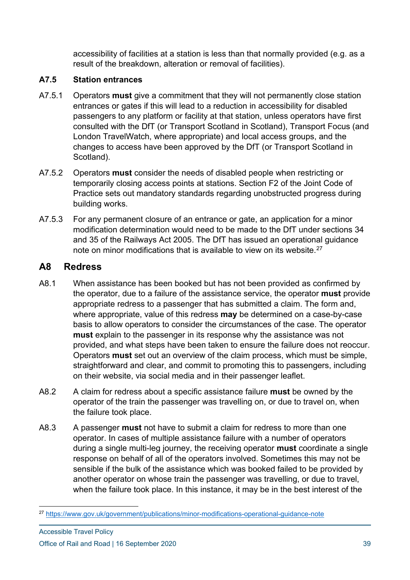accessibility of facilities at a station is less than that normally provided (e.g. as a result of the breakdown, alteration or removal of facilities).

#### **A7.5 Station entrances**

- A7.5.1 Operators **must** give a commitment that they will not permanently close station entrances or gates if this will lead to a reduction in accessibility for disabled passengers to any platform or facility at that station, unless operators have first consulted with the DfT (or Transport Scotland in Scotland), Transport Focus (and London TravelWatch, where appropriate) and local access groups, and the changes to access have been approved by the DfT (or Transport Scotland in Scotland).
- A7.5.2 Operators **must** consider the needs of disabled people when restricting or temporarily closing access points at stations. Section F2 of the Joint Code of Practice sets out mandatory standards regarding unobstructed progress during building works.
- A7.5.3 For any permanent closure of an entrance or gate, an application for a minor modification determination would need to be made to the DfT under sections 34 and 35 of the Railways Act 2005. The DfT has issued an operational guidance note on minor modifications that is available to view on its website.<sup>[27](#page-38-0)</sup>

## **A8 Redress**

- A8.1 When assistance has been booked but has not been provided as confirmed by the operator, due to a failure of the assistance service, the operator **must** provide appropriate redress to a passenger that has submitted a claim. The form and, where appropriate, value of this redress **may** be determined on a case-by-case basis to allow operators to consider the circumstances of the case. The operator **must** explain to the passenger in its response why the assistance was not provided, and what steps have been taken to ensure the failure does not reoccur. Operators **must** set out an overview of the claim process, which must be simple, straightforward and clear, and commit to promoting this to passengers, including on their website, via social media and in their passenger leaflet.
- A8.2 A claim for redress about a specific assistance failure **must** be owned by the operator of the train the passenger was travelling on, or due to travel on, when the failure took place.
- A8.3 A passenger **must** not have to submit a claim for redress to more than one operator. In cases of multiple assistance failure with a number of operators during a single multi-leg journey, the receiving operator **must** coordinate a single response on behalf of all of the operators involved. Sometimes this may not be sensible if the bulk of the assistance which was booked failed to be provided by another operator on whose train the passenger was travelling, or due to travel, when the failure took place. In this instance, it may be in the best interest of the

<span id="page-38-0"></span><sup>27</sup> <https://www.gov.uk/government/publications/minor-modifications-operational-guidance-note>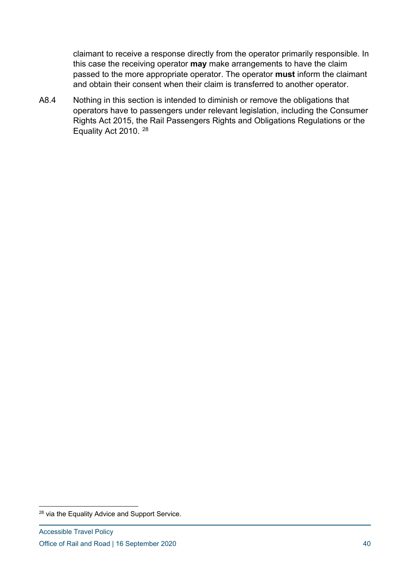claimant to receive a response directly from the operator primarily responsible. In this case the receiving operator **may** make arrangements to have the claim passed to the more appropriate operator. The operator **must** inform the claimant and obtain their consent when their claim is transferred to another operator.

A8.4 Nothing in this section is intended to diminish or remove the obligations that operators have to passengers under relevant legislation, including the Consumer Rights Act 2015, the Rail Passengers Rights and Obligations Regulations or the Equality Act 2010. [28](#page-39-0)

<span id="page-39-0"></span><sup>&</sup>lt;sup>28</sup> via the Equality Advice and Support Service.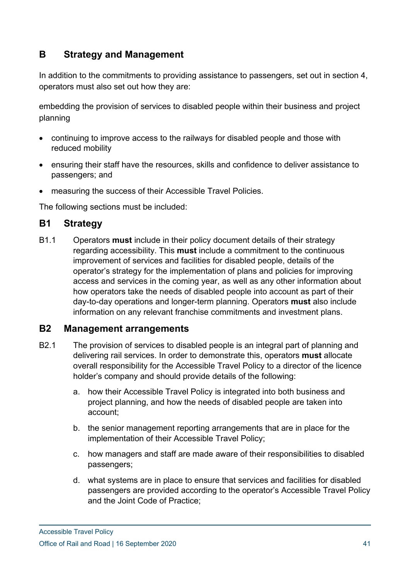## **B Strategy and Management**

In addition to the commitments to providing assistance to passengers, set out in section 4, operators must also set out how they are:

embedding the provision of services to disabled people within their business and project planning

- continuing to improve access to the railways for disabled people and those with reduced mobility
- ensuring their staff have the resources, skills and confidence to deliver assistance to passengers; and
- measuring the success of their Accessible Travel Policies.

The following sections must be included:

## **B1 Strategy**

B1.1 Operators **must** include in their policy document details of their strategy regarding accessibility. This **must** include a commitment to the continuous improvement of services and facilities for disabled people, details of the operator's strategy for the implementation of plans and policies for improving access and services in the coming year, as well as any other information about how operators take the needs of disabled people into account as part of their day-to-day operations and longer-term planning. Operators **must** also include information on any relevant franchise commitments and investment plans.

#### **B2 Management arrangements**

- B2.1 The provision of services to disabled people is an integral part of planning and delivering rail services. In order to demonstrate this, operators **must** allocate overall responsibility for the Accessible Travel Policy to a director of the licence holder's company and should provide details of the following:
	- a. how their Accessible Travel Policy is integrated into both business and project planning, and how the needs of disabled people are taken into account;
	- b. the senior management reporting arrangements that are in place for the implementation of their Accessible Travel Policy;
	- c. how managers and staff are made aware of their responsibilities to disabled passengers;
	- d. what systems are in place to ensure that services and facilities for disabled passengers are provided according to the operator's Accessible Travel Policy and the Joint Code of Practice;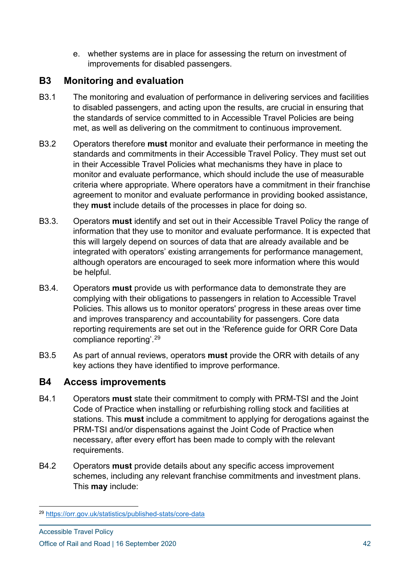e. whether systems are in place for assessing the return on investment of improvements for disabled passengers.

## **B3 Monitoring and evaluation**

- B3.1 The monitoring and evaluation of performance in delivering services and facilities to disabled passengers, and acting upon the results, are crucial in ensuring that the standards of service committed to in Accessible Travel Policies are being met, as well as delivering on the commitment to continuous improvement.
- B3.2 Operators therefore **must** monitor and evaluate their performance in meeting the standards and commitments in their Accessible Travel Policy. They must set out in their Accessible Travel Policies what mechanisms they have in place to monitor and evaluate performance, which should include the use of measurable criteria where appropriate. Where operators have a commitment in their franchise agreement to monitor and evaluate performance in providing booked assistance, they **must** include details of the processes in place for doing so.
- B3.3. Operators **must** identify and set out in their Accessible Travel Policy the range of information that they use to monitor and evaluate performance. It is expected that this will largely depend on sources of data that are already available and be integrated with operators' existing arrangements for performance management, although operators are encouraged to seek more information where this would be helpful.
- B3.4. Operators **must** provide us with performance data to demonstrate they are complying with their obligations to passengers in relation to Accessible Travel Policies. This allows us to monitor operators' progress in these areas over time and improves transparency and accountability for passengers. Core data reporting requirements are set out in the 'Reference guide for ORR Core Data compliance reporting'.[29](#page-41-0)
- B3.5 As part of annual reviews, operators **must** provide the ORR with details of any key actions they have identified to improve performance.

## **B4 Access improvements**

- B4.1 Operators **must** state their commitment to comply with PRM-TSI and the Joint Code of Practice when installing or refurbishing rolling stock and facilities at stations. This **must** include a commitment to applying for derogations against the PRM-TSI and/or dispensations against the Joint Code of Practice when necessary, after every effort has been made to comply with the relevant requirements.
- B4.2 Operators **must** provide details about any specific access improvement schemes, including any relevant franchise commitments and investment plans. This **may** include:

<span id="page-41-0"></span><sup>29</sup> <https://orr.gov.uk/statistics/published-stats/core-data>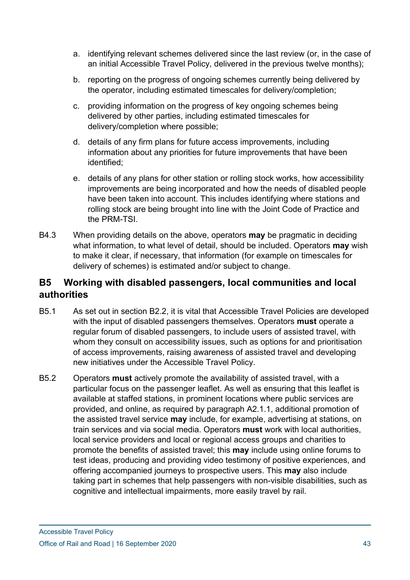- a. identifying relevant schemes delivered since the last review (or, in the case of an initial Accessible Travel Policy, delivered in the previous twelve months);
- b. reporting on the progress of ongoing schemes currently being delivered by the operator, including estimated timescales for delivery/completion;
- c. providing information on the progress of key ongoing schemes being delivered by other parties, including estimated timescales for delivery/completion where possible;
- d. details of any firm plans for future access improvements, including information about any priorities for future improvements that have been identified;
- e. details of any plans for other station or rolling stock works, how accessibility improvements are being incorporated and how the needs of disabled people have been taken into account. This includes identifying where stations and rolling stock are being brought into line with the Joint Code of Practice and the PRM-TSI.
- B4.3 When providing details on the above, operators **may** be pragmatic in deciding what information, to what level of detail, should be included. Operators **may** wish to make it clear, if necessary, that information (for example on timescales for delivery of schemes) is estimated and/or subject to change.

## **B5 Working with disabled passengers, local communities and local authorities**

- B5.1 As set out in section B2.2, it is vital that Accessible Travel Policies are developed with the input of disabled passengers themselves. Operators **must** operate a regular forum of disabled passengers, to include users of assisted travel, with whom they consult on accessibility issues, such as options for and prioritisation of access improvements, raising awareness of assisted travel and developing new initiatives under the Accessible Travel Policy.
- B5.2 Operators **must** actively promote the availability of assisted travel, with a particular focus on the passenger leaflet. As well as ensuring that this leaflet is available at staffed stations, in prominent locations where public services are provided, and online, as required by paragraph A2.1.1, additional promotion of the assisted travel service **may** include, for example, advertising at stations, on train services and via social media. Operators **must** work with local authorities, local service providers and local or regional access groups and charities to promote the benefits of assisted travel; this **may** include using online forums to test ideas, producing and providing video testimony of positive experiences, and offering accompanied journeys to prospective users. This **may** also include taking part in schemes that help passengers with non-visible disabilities, such as cognitive and intellectual impairments, more easily travel by rail.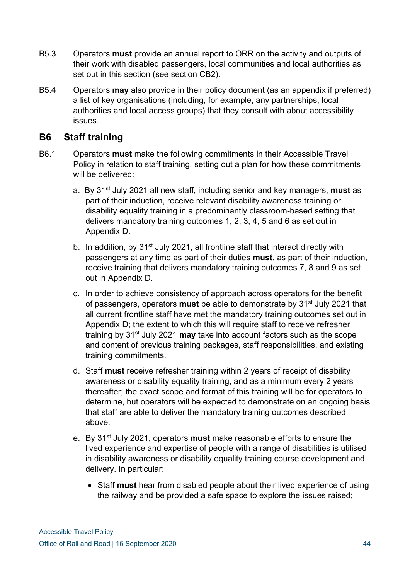- B5.3 Operators **must** provide an annual report to ORR on the activity and outputs of their work with disabled passengers, local communities and local authorities as set out in this section (see section CB2).
- B5.4 Operators **may** also provide in their policy document (as an appendix if preferred) a list of key organisations (including, for example, any partnerships, local authorities and local access groups) that they consult with about accessibility issues.

## **B6 Staff training**

- B6.1 Operators **must** make the following commitments in their Accessible Travel Policy in relation to staff training, setting out a plan for how these commitments will be delivered:
	- a. By 31st July 2021 all new staff, including senior and key managers, **must** as part of their induction, receive relevant disability awareness training or disability equality training in a predominantly classroom-based setting that delivers mandatory training outcomes 1, 2, 3, 4, 5 and 6 as set out in Appendix D.
	- b. In addition, by 31<sup>st</sup> July 2021, all frontline staff that interact directly with passengers at any time as part of their duties **must**, as part of their induction, receive training that delivers mandatory training outcomes 7, 8 and 9 as set out in Appendix D.
	- c. In order to achieve consistency of approach across operators for the benefit of passengers, operators **must** be able to demonstrate by 31st July 2021 that all current frontline staff have met the mandatory training outcomes set out in Appendix D; the extent to which this will require staff to receive refresher training by 31st July 2021 **may** take into account factors such as the scope and content of previous training packages, staff responsibilities, and existing training commitments.
	- d. Staff **must** receive refresher training within 2 years of receipt of disability awareness or disability equality training, and as a minimum every 2 years thereafter; the exact scope and format of this training will be for operators to determine, but operators will be expected to demonstrate on an ongoing basis that staff are able to deliver the mandatory training outcomes described above.
	- e. By 31st July 2021, operators **must** make reasonable efforts to ensure the lived experience and expertise of people with a range of disabilities is utilised in disability awareness or disability equality training course development and delivery. In particular:
		- Staff must hear from disabled people about their lived experience of using the railway and be provided a safe space to explore the issues raised;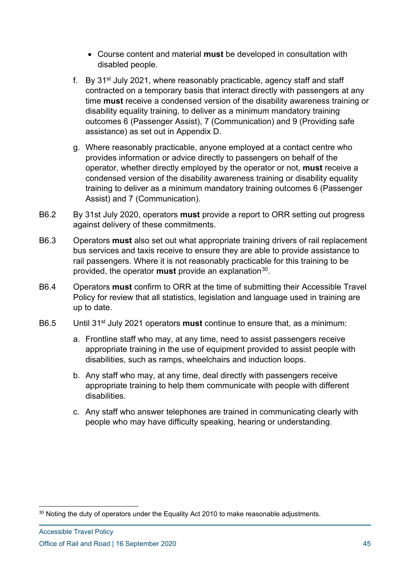- Course content and material **must** be developed in consultation with disabled people.
- f. By 31st July 2021, where reasonably practicable, agency staff and staff contracted on a temporary basis that interact directly with passengers at any time **must** receive a condensed version of the disability awareness training or disability equality training, to deliver as a minimum mandatory training outcomes 6 (Passenger Assist), 7 (Communication) and 9 (Providing safe assistance) as set out in Appendix D.
- g. Where reasonably practicable, anyone employed at a contact centre who provides information or advice directly to passengers on behalf of the operator, whether directly employed by the operator or not, **must** receive a condensed version of the disability awareness training or disability equality training to deliver as a minimum mandatory training outcomes 6 (Passenger Assist) and 7 (Communication).
- B6.2 By 31st July 2020, operators **must** provide a report to ORR setting out progress against delivery of these commitments.
- B6.3 Operators **must** also set out what appropriate training drivers of rail replacement bus services and taxis receive to ensure they are able to provide assistance to rail passengers. Where it is not reasonably practicable for this training to be provided, the operator **must** provide an explanation<sup>[30](#page-44-0)</sup>.
- B6.4 Operators **must** confirm to ORR at the time of submitting their Accessible Travel Policy for review that all statistics, legislation and language used in training are up to date.
- B6.5 Until 31st July 2021 operators **must** continue to ensure that, as a minimum:
	- a. Frontline staff who may, at any time, need to assist passengers receive appropriate training in the use of equipment provided to assist people with disabilities, such as ramps, wheelchairs and induction loops.
	- b. Any staff who may, at any time, deal directly with passengers receive appropriate training to help them communicate with people with different disabilities.
	- c. Any staff who answer telephones are trained in communicating clearly with people who may have difficulty speaking, hearing or understanding.

<span id="page-44-0"></span><sup>&</sup>lt;sup>30</sup> Noting the duty of operators under the Equality Act 2010 to make reasonable adjustments.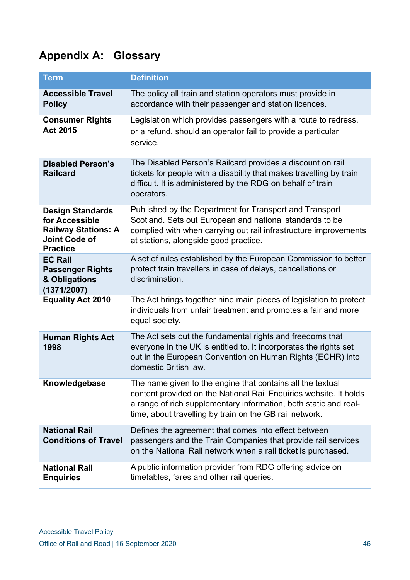# **Appendix A: Glossary**

| <b>Term</b>                                                                                                        | <b>Definition</b>                                                                                                                                                                                                                                              |
|--------------------------------------------------------------------------------------------------------------------|----------------------------------------------------------------------------------------------------------------------------------------------------------------------------------------------------------------------------------------------------------------|
| <b>Accessible Travel</b><br><b>Policy</b>                                                                          | The policy all train and station operators must provide in<br>accordance with their passenger and station licences.                                                                                                                                            |
| <b>Consumer Rights</b><br><b>Act 2015</b>                                                                          | Legislation which provides passengers with a route to redress,<br>or a refund, should an operator fail to provide a particular<br>service.                                                                                                                     |
| <b>Disabled Person's</b><br><b>Railcard</b>                                                                        | The Disabled Person's Railcard provides a discount on rail<br>tickets for people with a disability that makes travelling by train<br>difficult. It is administered by the RDG on behalf of train<br>operators.                                                 |
| <b>Design Standards</b><br>for Accessible<br><b>Railway Stations: A</b><br><b>Joint Code of</b><br><b>Practice</b> | Published by the Department for Transport and Transport<br>Scotland. Sets out European and national standards to be<br>complied with when carrying out rail infrastructure improvements<br>at stations, alongside good practice.                               |
| <b>EC Rail</b><br><b>Passenger Rights</b><br>& Obligations<br>(1371/2007)                                          | A set of rules established by the European Commission to better<br>protect train travellers in case of delays, cancellations or<br>discrimination.                                                                                                             |
| <b>Equality Act 2010</b>                                                                                           | The Act brings together nine main pieces of legislation to protect<br>individuals from unfair treatment and promotes a fair and more<br>equal society.                                                                                                         |
| <b>Human Rights Act</b><br>1998                                                                                    | The Act sets out the fundamental rights and freedoms that<br>everyone in the UK is entitled to. It incorporates the rights set<br>out in the European Convention on Human Rights (ECHR) into<br>domestic British law.                                          |
| Knowledgebase                                                                                                      | The name given to the engine that contains all the textual<br>content provided on the National Rail Enquiries website. It holds<br>a range of rich supplementary information, both static and real-<br>time, about travelling by train on the GB rail network. |
| <b>National Rail</b><br><b>Conditions of Travel</b>                                                                | Defines the agreement that comes into effect between<br>passengers and the Train Companies that provide rail services<br>on the National Rail network when a rail ticket is purchased.                                                                         |
| <b>National Rail</b><br><b>Enquiries</b>                                                                           | A public information provider from RDG offering advice on<br>timetables, fares and other rail queries.                                                                                                                                                         |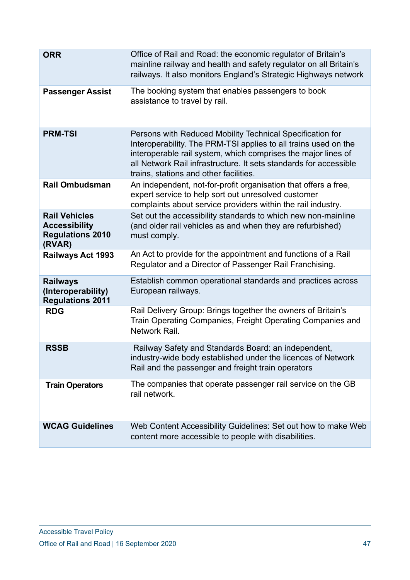| <b>ORR</b>                                                                        | Office of Rail and Road: the economic regulator of Britain's<br>mainline railway and health and safety regulator on all Britain's<br>railways. It also monitors England's Strategic Highways network                                                                                                         |  |  |  |
|-----------------------------------------------------------------------------------|--------------------------------------------------------------------------------------------------------------------------------------------------------------------------------------------------------------------------------------------------------------------------------------------------------------|--|--|--|
| <b>Passenger Assist</b>                                                           | The booking system that enables passengers to book<br>assistance to travel by rail.                                                                                                                                                                                                                          |  |  |  |
| <b>PRM-TSI</b>                                                                    | Persons with Reduced Mobility Technical Specification for<br>Interoperability. The PRM-TSI applies to all trains used on the<br>interoperable rail system, which comprises the major lines of<br>all Network Rail infrastructure. It sets standards for accessible<br>trains, stations and other facilities. |  |  |  |
| <b>Rail Ombudsman</b>                                                             | An independent, not-for-profit organisation that offers a free,<br>expert service to help sort out unresolved customer<br>complaints about service providers within the rail industry.                                                                                                                       |  |  |  |
| <b>Rail Vehicles</b><br><b>Accessibility</b><br><b>Regulations 2010</b><br>(RVAR) | Set out the accessibility standards to which new non-mainline<br>(and older rail vehicles as and when they are refurbished)<br>must comply.                                                                                                                                                                  |  |  |  |
| <b>Railways Act 1993</b>                                                          | An Act to provide for the appointment and functions of a Rail<br>Regulator and a Director of Passenger Rail Franchising.                                                                                                                                                                                     |  |  |  |
| <b>Railways</b><br>(Interoperability)<br><b>Regulations 2011</b>                  | Establish common operational standards and practices across<br>European railways.                                                                                                                                                                                                                            |  |  |  |
| <b>RDG</b>                                                                        | Rail Delivery Group: Brings together the owners of Britain's<br>Train Operating Companies, Freight Operating Companies and<br>Network Rail.                                                                                                                                                                  |  |  |  |
| <b>RSSB</b>                                                                       | Railway Safety and Standards Board: an independent,<br>industry-wide body established under the licences of Network<br>Rail and the passenger and freight train operators                                                                                                                                    |  |  |  |
| <b>Train Operators</b>                                                            | The companies that operate passenger rail service on the GB<br>rail network.                                                                                                                                                                                                                                 |  |  |  |
| <b>WCAG Guidelines</b>                                                            | Web Content Accessibility Guidelines: Set out how to make Web<br>content more accessible to people with disabilities.                                                                                                                                                                                        |  |  |  |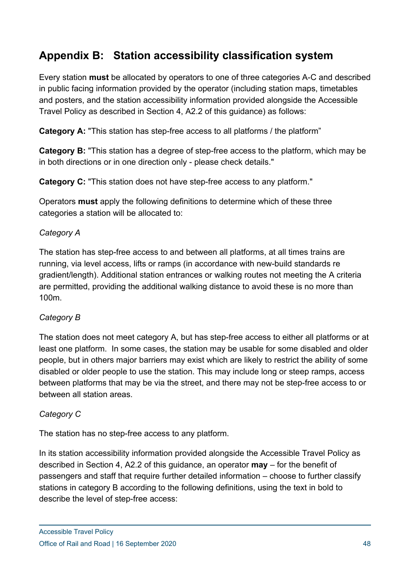## **Appendix B: Station accessibility classification system**

Every station **must** be allocated by operators to one of three categories A-C and described in public facing information provided by the operator (including station maps, timetables and posters, and the station accessibility information provided alongside the Accessible Travel Policy as described in Section 4, A2.2 of this guidance) as follows:

**Category A:** "This station has step-free access to all platforms / the platform"

**Category B:** "This station has a degree of step-free access to the platform, which may be in both directions or in one direction only - please check details."

**Category C:** "This station does not have step-free access to any platform."

Operators **must** apply the following definitions to determine which of these three categories a station will be allocated to:

#### *Category A*

The station has step-free access to and between all platforms, at all times trains are running, via level access, lifts or ramps (in accordance with new-build standards re gradient/length). Additional station entrances or walking routes not meeting the A criteria are permitted, providing the additional walking distance to avoid these is no more than 100m.

#### *Category B*

The station does not meet category A, but has step-free access to either all platforms or at least one platform. In some cases, the station may be usable for some disabled and older people, but in others major barriers may exist which are likely to restrict the ability of some disabled or older people to use the station. This may include long or steep ramps, access between platforms that may be via the street, and there may not be step-free access to or between all station areas.

#### *Category C*

The station has no step-free access to any platform.

In its station accessibility information provided alongside the Accessible Travel Policy as described in Section 4, A2.2 of this guidance, an operator **may** – for the benefit of passengers and staff that require further detailed information – choose to further classify stations in category B according to the following definitions, using the text in bold to describe the level of step-free access: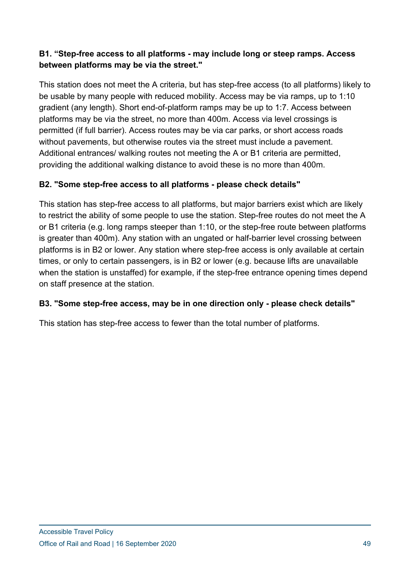#### **B1. "Step-free access to all platforms - may include long or steep ramps. Access between platforms may be via the street."**

This station does not meet the A criteria, but has step-free access (to all platforms) likely to be usable by many people with reduced mobility. Access may be via ramps, up to 1:10 gradient (any length). Short end-of-platform ramps may be up to 1:7. Access between platforms may be via the street, no more than 400m. Access via level crossings is permitted (if full barrier). Access routes may be via car parks, or short access roads without pavements, but otherwise routes via the street must include a pavement. Additional entrances/ walking routes not meeting the A or B1 criteria are permitted, providing the additional walking distance to avoid these is no more than 400m.

#### **B2. "Some step-free access to all platforms - please check details"**

This station has step-free access to all platforms, but major barriers exist which are likely to restrict the ability of some people to use the station. Step-free routes do not meet the A or B1 criteria (e.g. long ramps steeper than 1:10, or the step-free route between platforms is greater than 400m). Any station with an ungated or half-barrier level crossing between platforms is in B2 or lower. Any station where step-free access is only available at certain times, or only to certain passengers, is in B2 or lower (e.g. because lifts are unavailable when the station is unstaffed) for example, if the step-free entrance opening times depend on staff presence at the station.

#### **B3. "Some step-free access, may be in one direction only - please check details"**

This station has step-free access to fewer than the total number of platforms.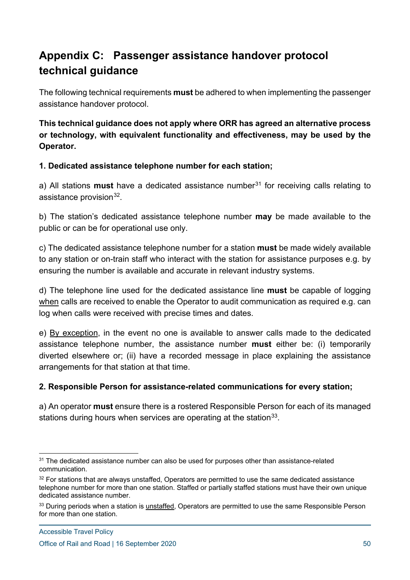## **Appendix C: Passenger assistance handover protocol technical guidance**

The following technical requirements **must** be adhered to when implementing the passenger assistance handover protocol.

**This technical guidance does not apply where ORR has agreed an alternative process or technology, with equivalent functionality and effectiveness, may be used by the Operator.**

#### **1. Dedicated assistance telephone number for each station;**

a) All stations **must** have a dedicated assistance number<sup>[31](#page-49-0)</sup> for receiving calls relating to assistance provision $32$ .

b) The station's dedicated assistance telephone number **may** be made available to the public or can be for operational use only.

c) The dedicated assistance telephone number for a station **must** be made widely available to any station or on-train staff who interact with the station for assistance purposes e.g. by ensuring the number is available and accurate in relevant industry systems.

d) The telephone line used for the dedicated assistance line **must** be capable of logging when calls are received to enable the Operator to audit communication as required e.g. can log when calls were received with precise times and dates.

e) By exception, in the event no one is available to answer calls made to the dedicated assistance telephone number, the assistance number **must** either be: (i) temporarily diverted elsewhere or; (ii) have a recorded message in place explaining the assistance arrangements for that station at that time.

#### **2. Responsible Person for assistance-related communications for every station;**

a) An operator **must** ensure there is a rostered Responsible Person for each of its managed stations during hours when services are operating at the station  $33$ .

<span id="page-49-0"></span> $31$  The dedicated assistance number can also be used for purposes other than assistance-related communication.

<span id="page-49-1"></span> $32$  For stations that are always unstaffed. Operators are permitted to use the same dedicated assistance telephone number for more than one station. Staffed or partially staffed stations must have their own unique dedicated assistance number.

<span id="page-49-2"></span><sup>&</sup>lt;sup>33</sup> During periods when a station is unstaffed, Operators are permitted to use the same Responsible Person for more than one station.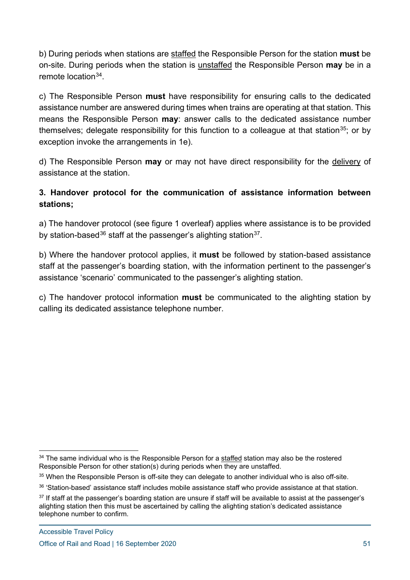b) During periods when stations are staffed the Responsible Person for the station **must** be on-site. During periods when the station is unstaffed the Responsible Person **may** be in a remote location<sup>[34](#page-50-0)</sup>

c) The Responsible Person **must** have responsibility for ensuring calls to the dedicated assistance number are answered during times when trains are operating at that station. This means the Responsible Person **may**: answer calls to the dedicated assistance number themselves; delegate responsibility for this function to a colleague at that station<sup>35</sup>; or by exception invoke the arrangements in 1e).

d) The Responsible Person **may** or may not have direct responsibility for the delivery of assistance at the station.

#### **3. Handover protocol for the communication of assistance information between stations;**

a) The handover protocol (see figure 1 overleaf) applies where assistance is to be provided by station-based<sup>[36](#page-50-2)</sup> staff at the passenger's alighting station<sup>37</sup>.

b) Where the handover protocol applies, it **must** be followed by station-based assistance staff at the passenger's boarding station, with the information pertinent to the passenger's assistance 'scenario' communicated to the passenger's alighting station.

c) The handover protocol information **must** be communicated to the alighting station by calling its dedicated assistance telephone number.

<span id="page-50-0"></span> $34$  The same individual who is the Responsible Person for a staffed station may also be the rostered Responsible Person for other station(s) during periods when they are unstaffed.

<span id="page-50-1"></span><sup>&</sup>lt;sup>35</sup> When the Responsible Person is off-site they can delegate to another individual who is also off-site.

<span id="page-50-2"></span><sup>&</sup>lt;sup>36</sup> 'Station-based' assistance staff includes mobile assistance staff who provide assistance at that station.

<span id="page-50-3"></span> $37$  If staff at the passenger's boarding station are unsure if staff will be available to assist at the passenger's alighting station then this must be ascertained by calling the alighting station's dedicated assistance telephone number to confirm.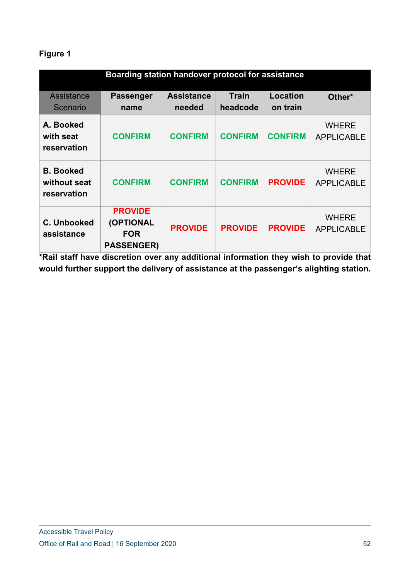## **Figure 1**

| Boarding station handover protocol for assistance |                                                                |                             |                          |                      |                                   |
|---------------------------------------------------|----------------------------------------------------------------|-----------------------------|--------------------------|----------------------|-----------------------------------|
| Assistance<br>Scenario                            | <b>Passenger</b><br>name                                       | <b>Assistance</b><br>needed | <b>Train</b><br>headcode | Location<br>on train | Other*                            |
| A. Booked<br>with seat<br>reservation             | <b>CONFIRM</b>                                                 | <b>CONFIRM</b>              | <b>CONFIRM</b>           | <b>CONFIRM</b>       | <b>WHERE</b><br><b>APPLICABLE</b> |
| <b>B.</b> Booked<br>without seat<br>reservation   | <b>CONFIRM</b>                                                 | <b>CONFIRM</b>              | <b>CONFIRM</b>           | <b>PROVIDE</b>       | <b>WHERE</b><br><b>APPLICABLE</b> |
| C. Unbooked<br>assistance                         | <b>PROVIDE</b><br>(OPTIONAL<br><b>FOR</b><br><b>PASSENGER)</b> | <b>PROVIDE</b>              | <b>PROVIDE</b>           | <b>PROVIDE</b>       | <b>WHERE</b><br><b>APPLICABLE</b> |

**\*Rail staff have discretion over any additional information they wish to provide that would further support the delivery of assistance at the passenger's alighting station.**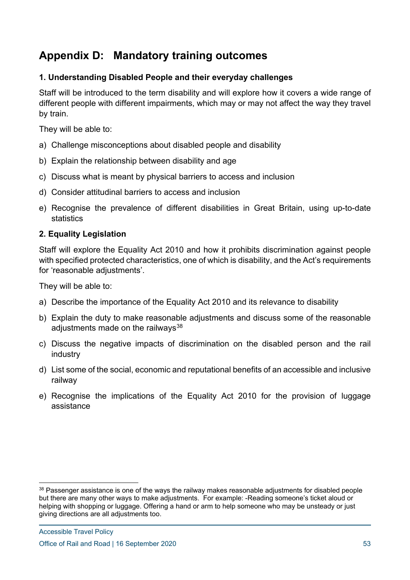## **Appendix D: Mandatory training outcomes**

#### **1. Understanding Disabled People and their everyday challenges**

Staff will be introduced to the term disability and will explore how it covers a wide range of different people with different impairments, which may or may not affect the way they travel by train.

They will be able to:

- a) Challenge misconceptions about disabled people and disability
- b) Explain the relationship between disability and age
- c) Discuss what is meant by physical barriers to access and inclusion
- d) Consider attitudinal barriers to access and inclusion
- e) Recognise the prevalence of different disabilities in Great Britain, using up-to-date statistics

#### **2. Equality Legislation**

Staff will explore the Equality Act 2010 and how it prohibits discrimination against people with specified protected characteristics, one of which is disability, and the Act's requirements for 'reasonable adjustments'.

They will be able to:

- a) Describe the importance of the Equality Act 2010 and its relevance to disability
- b) Explain the duty to make reasonable adjustments and discuss some of the reasonable adiustments made on the railways $38$
- c) Discuss the negative impacts of discrimination on the disabled person and the rail industry
- d) List some of the social, economic and reputational benefits of an accessible and inclusive railway
- e) Recognise the implications of the Equality Act 2010 for the provision of luggage assistance

<span id="page-52-0"></span><sup>&</sup>lt;sup>38</sup> Passenger assistance is one of the ways the railway makes reasonable adjustments for disabled people but there are many other ways to make adjustments. For example: -Reading someone's ticket aloud or helping with shopping or luggage. Offering a hand or arm to help someone who may be unsteady or just giving directions are all adjustments too.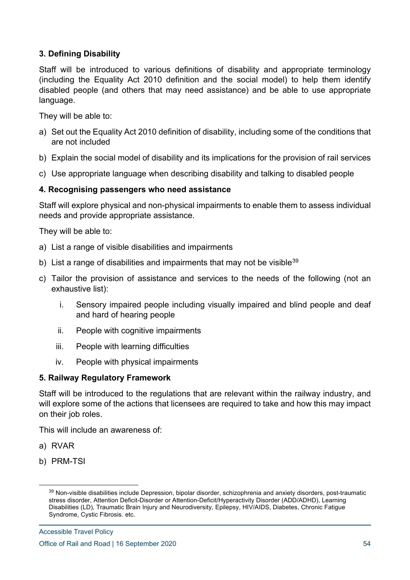#### **3. Defining Disability**

Staff will be introduced to various definitions of disability and appropriate terminology (including the Equality Act 2010 definition and the social model) to help them identify disabled people (and others that may need assistance) and be able to use appropriate language.

They will be able to:

- a) Set out the Equality Act 2010 definition of disability, including some of the conditions that are not included
- b) Explain the social model of disability and its implications for the provision of rail services
- c) Use appropriate language when describing disability and talking to disabled people

#### **4. Recognising passengers who need assistance**

Staff will explore physical and non-physical impairments to enable them to assess individual needs and provide appropriate assistance.

They will be able to:

- a) List a range of visible disabilities and impairments
- b) List a range of disabilities and impairments that may not be visible  $39$
- c) Tailor the provision of assistance and services to the needs of the following (not an exhaustive list):
	- i. Sensory impaired people including visually impaired and blind people and deaf and hard of hearing people
	- ii. People with cognitive impairments
	- iii. People with learning difficulties
	- iv. People with physical impairments

#### **5. Railway Regulatory Framework**

Staff will be introduced to the regulations that are relevant within the railway industry, and will explore some of the actions that licensees are required to take and how this may impact on their job roles.

This will include an awareness of:

- a) RVAR
- b) PRM-TSI

<span id="page-53-0"></span><sup>&</sup>lt;sup>39</sup> Non-visible disabilities include Depression, bipolar disorder, schizophrenia and anxiety disorders, post-traumatic stress disorder, Attention Deficit-Disorder or Attention-Deficit/Hyperactivity Disorder (ADD/ADHD), Learning Disabilities (LD), Traumatic Brain Injury and Neurodiversity, Epilepsy, HIV/AIDS, Diabetes, Chronic Fatigue Syndrome, Cystic Fibrosis. etc.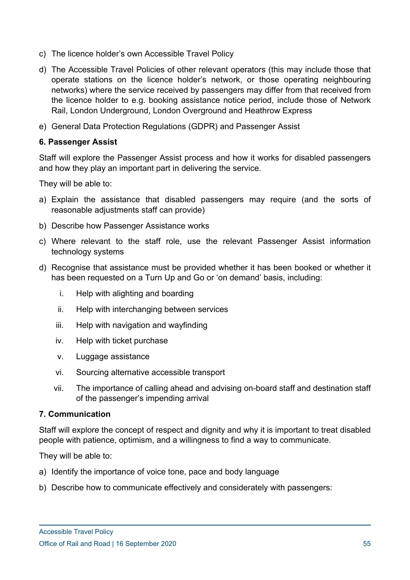- c) The licence holder's own Accessible Travel Policy
- d) The Accessible Travel Policies of other relevant operators (this may include those that operate stations on the licence holder's network, or those operating neighbouring networks) where the service received by passengers may differ from that received from the licence holder to e.g. booking assistance notice period, include those of Network Rail, London Underground, London Overground and Heathrow Express
- e) General Data Protection Regulations (GDPR) and Passenger Assist

#### **6. Passenger Assist**

Staff will explore the Passenger Assist process and how it works for disabled passengers and how they play an important part in delivering the service.

They will be able to:

- a) Explain the assistance that disabled passengers may require (and the sorts of reasonable adjustments staff can provide)
- b) Describe how Passenger Assistance works
- c) Where relevant to the staff role, use the relevant Passenger Assist information technology systems
- d) Recognise that assistance must be provided whether it has been booked or whether it has been requested on a Turn Up and Go or 'on demand' basis, including:
	- i. Help with alighting and boarding
	- ii. Help with interchanging between services
	- iii. Help with navigation and wayfinding
	- iv. Help with ticket purchase
	- v. Luggage assistance
	- vi. Sourcing alternative accessible transport
	- vii. The importance of calling ahead and advising on-board staff and destination staff of the passenger's impending arrival

#### **7. Communication**

Staff will explore the concept of respect and dignity and why it is important to treat disabled people with patience, optimism, and a willingness to find a way to communicate.

They will be able to:

- a) Identify the importance of voice tone, pace and body language
- b) Describe how to communicate effectively and considerately with passengers: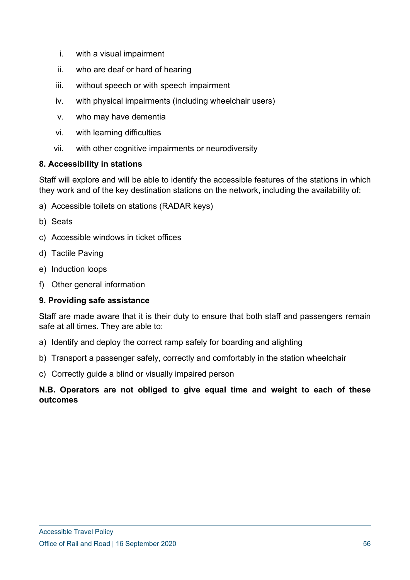- i. with a visual impairment
- ii. who are deaf or hard of hearing
- iii. without speech or with speech impairment
- iv. with physical impairments (including wheelchair users)
- v. who may have dementia
- vi. with learning difficulties
- vii. with other cognitive impairments or neurodiversity

#### **8. Accessibility in stations**

Staff will explore and will be able to identify the accessible features of the stations in which they work and of the key destination stations on the network, including the availability of:

- a) Accessible toilets on stations (RADAR keys)
- b) Seats
- c) Accessible windows in ticket offices
- d) Tactile Paving
- e) Induction loops
- f) Other general information

#### **9. Providing safe assistance**

Staff are made aware that it is their duty to ensure that both staff and passengers remain safe at all times. They are able to:

- a) Identify and deploy the correct ramp safely for boarding and alighting
- b) Transport a passenger safely, correctly and comfortably in the station wheelchair
- c) Correctly guide a blind or visually impaired person

#### **N.B. Operators are not obliged to give equal time and weight to each of these outcomes**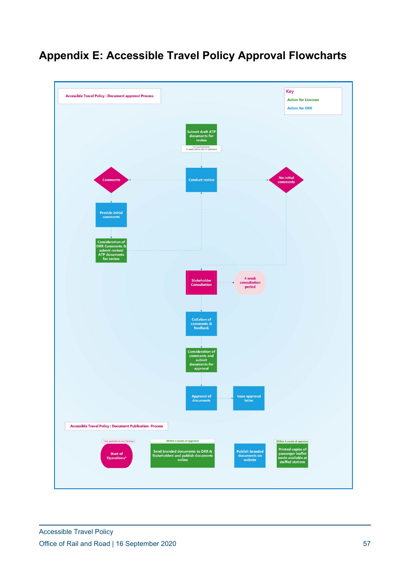## **Appendix E: Accessible Travel Policy Approval Flowcharts**

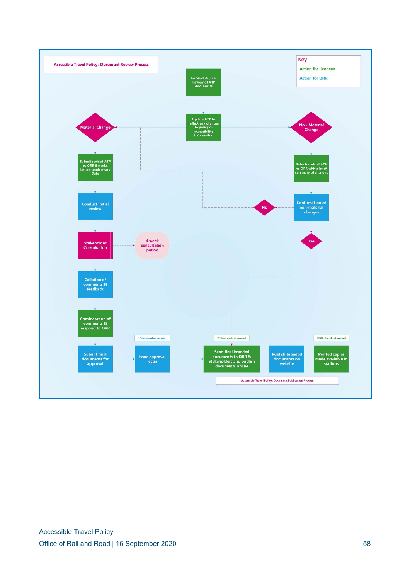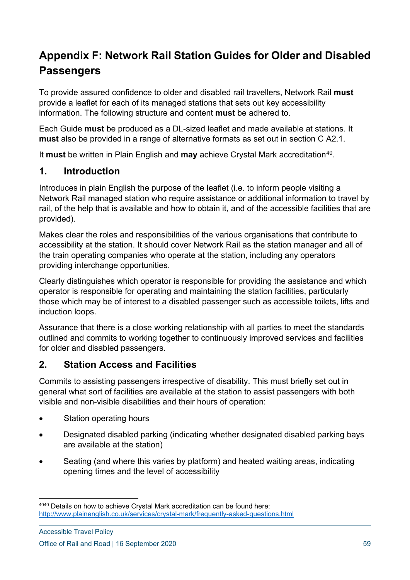## **Appendix F: Network Rail Station Guides for Older and Disabled Passengers**

To provide assured confidence to older and disabled rail travellers, Network Rail **must** provide a leaflet for each of its managed stations that sets out key accessibility information. The following structure and content **must** be adhered to.

Each Guide **must** be produced as a DL-sized leaflet and made available at stations. It **must** also be provided in a range of alternative formats as set out in section C A2.1.

It **must** be written in Plain English and **may** achieve Crystal Mark accreditation<sup>[40](#page-58-0)</sup>.

## **1. Introduction**

Introduces in plain English the purpose of the leaflet (i.e. to inform people visiting a Network Rail managed station who require assistance or additional information to travel by rail, of the help that is available and how to obtain it, and of the accessible facilities that are provided).

Makes clear the roles and responsibilities of the various organisations that contribute to accessibility at the station. It should cover Network Rail as the station manager and all of the train operating companies who operate at the station, including any operators providing interchange opportunities.

Clearly distinguishes which operator is responsible for providing the assistance and which operator is responsible for operating and maintaining the station facilities, particularly those which may be of interest to a disabled passenger such as accessible toilets, lifts and induction loops.

Assurance that there is a close working relationship with all parties to meet the standards outlined and commits to working together to continuously improved services and facilities for older and disabled passengers.

## **2. Station Access and Facilities**

Commits to assisting passengers irrespective of disability. This must briefly set out in general what sort of facilities are available at the station to assist passengers with both visible and non-visible disabilities and their hours of operation:

- Station operating hours
- Designated disabled parking (indicating whether designated disabled parking bays are available at the station)
- Seating (and where this varies by platform) and heated waiting areas, indicating opening times and the level of accessibility

<span id="page-58-0"></span><sup>4040</sup> Details on how to achieve Crystal Mark accreditation can be found here: <http://www.plainenglish.co.uk/services/crystal-mark/frequently-asked-questions.html>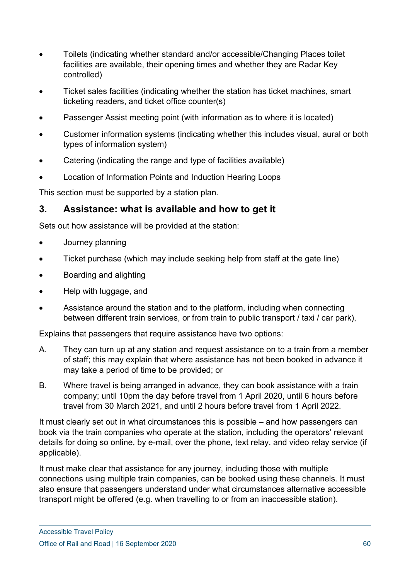- Toilets (indicating whether standard and/or accessible/Changing Places toilet facilities are available, their opening times and whether they are Radar Key controlled)
- Ticket sales facilities (indicating whether the station has ticket machines, smart ticketing readers, and ticket office counter(s)
- Passenger Assist meeting point (with information as to where it is located)
- Customer information systems (indicating whether this includes visual, aural or both types of information system)
- Catering (indicating the range and type of facilities available)
- Location of Information Points and Induction Hearing Loops

This section must be supported by a station plan.

## **3. Assistance: what is available and how to get it**

Sets out how assistance will be provided at the station:

- Journey planning
- Ticket purchase (which may include seeking help from staff at the gate line)
- Boarding and alighting
- Help with luggage, and
- Assistance around the station and to the platform, including when connecting between different train services, or from train to public transport / taxi / car park),

Explains that passengers that require assistance have two options:

- A. They can turn up at any station and request assistance on to a train from a member of staff; this may explain that where assistance has not been booked in advance it may take a period of time to be provided; or
- B. Where travel is being arranged in advance, they can book assistance with a train company; until 10pm the day before travel from 1 April 2020, until 6 hours before travel from 30 March 2021, and until 2 hours before travel from 1 April 2022.

It must clearly set out in what circumstances this is possible – and how passengers can book via the train companies who operate at the station, including the operators' relevant details for doing so online, by e-mail, over the phone, text relay, and video relay service (if applicable).

It must make clear that assistance for any journey, including those with multiple connections using multiple train companies, can be booked using these channels. It must also ensure that passengers understand under what circumstances alternative accessible transport might be offered (e.g. when travelling to or from an inaccessible station).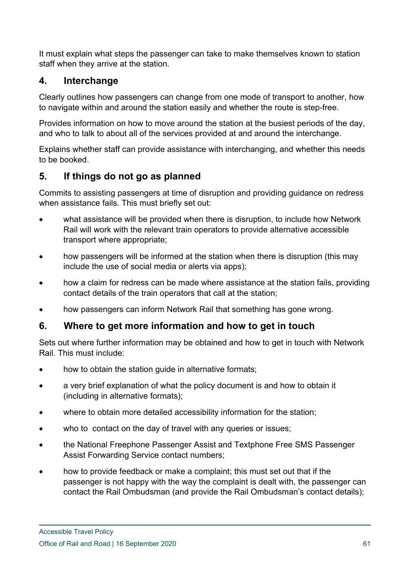It must explain what steps the passenger can take to make themselves known to station staff when they arrive at the station.

## **4. Interchange**

Clearly outlines how passengers can change from one mode of transport to another, how to navigate within and around the station easily and whether the route is step-free.

Provides information on how to move around the station at the busiest periods of the day, and who to talk to about all of the services provided at and around the interchange.

Explains whether staff can provide assistance with interchanging, and whether this needs to be booked.

## **5. If things do not go as planned**

Commits to assisting passengers at time of disruption and providing guidance on redress when assistance fails. This must briefly set out:

- what assistance will be provided when there is disruption, to include how Network Rail will work with the relevant train operators to provide alternative accessible transport where appropriate;
- how passengers will be informed at the station when there is disruption (this may include the use of social media or alerts via apps);
- how a claim for redress can be made where assistance at the station fails, providing contact details of the train operators that call at the station;
- how passengers can inform Network Rail that something has gone wrong.

## **6. Where to get more information and how to get in touch**

Sets out where further information may be obtained and how to get in touch with Network Rail. This must include:

- how to obtain the station quide in alternative formats;
- a very brief explanation of what the policy document is and how to obtain it (including in alternative formats);
- where to obtain more detailed accessibility information for the station;
- who to contact on the day of travel with any queries or issues;
- the National Freephone Passenger Assist and Textphone Free SMS Passenger Assist Forwarding Service contact numbers;
- how to provide feedback or make a complaint; this must set out that if the passenger is not happy with the way the complaint is dealt with, the passenger can contact the Rail Ombudsman (and provide the Rail Ombudsman's contact details);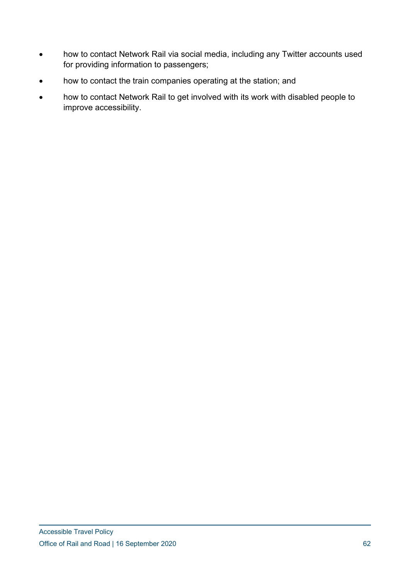- how to contact Network Rail via social media, including any Twitter accounts used for providing information to passengers;
- how to contact the train companies operating at the station; and
- how to contact Network Rail to get involved with its work with disabled people to improve accessibility.